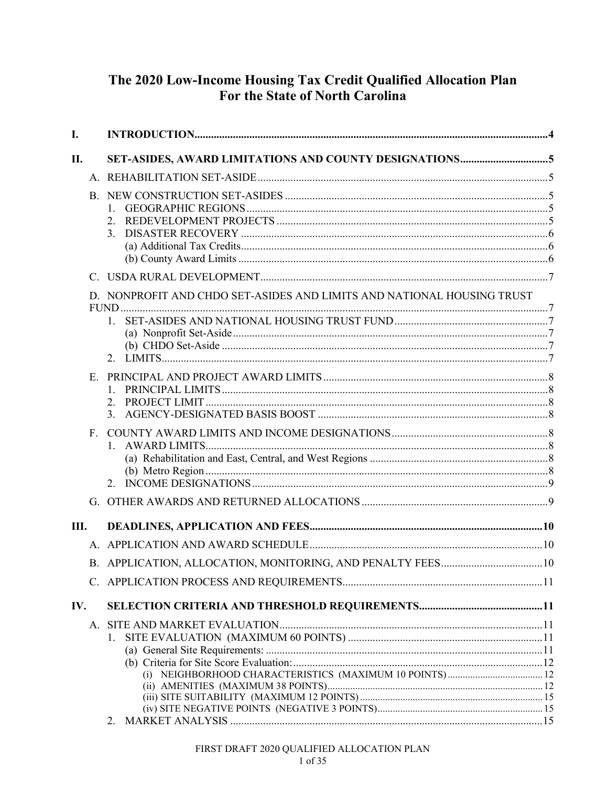# The 2020 Low-Income Housing Tax Credit Qualified Allocation Plan For the State of North Carolina

| I.   |             |                                                                                   |  |
|------|-------------|-----------------------------------------------------------------------------------|--|
| II.  |             |                                                                                   |  |
|      |             |                                                                                   |  |
|      |             | 3.                                                                                |  |
|      |             |                                                                                   |  |
|      |             | D. NONPROFIT AND CHDO SET-ASIDES AND LIMITS AND NATIONAL HOUSING TRUST<br>$1_{-}$ |  |
|      | $E_{\cdot}$ | 1.<br>2.<br>3.                                                                    |  |
|      |             |                                                                                   |  |
|      |             |                                                                                   |  |
| III. |             |                                                                                   |  |
|      |             |                                                                                   |  |
|      |             |                                                                                   |  |
|      |             |                                                                                   |  |
| IV.  |             |                                                                                   |  |
|      |             | 1.                                                                                |  |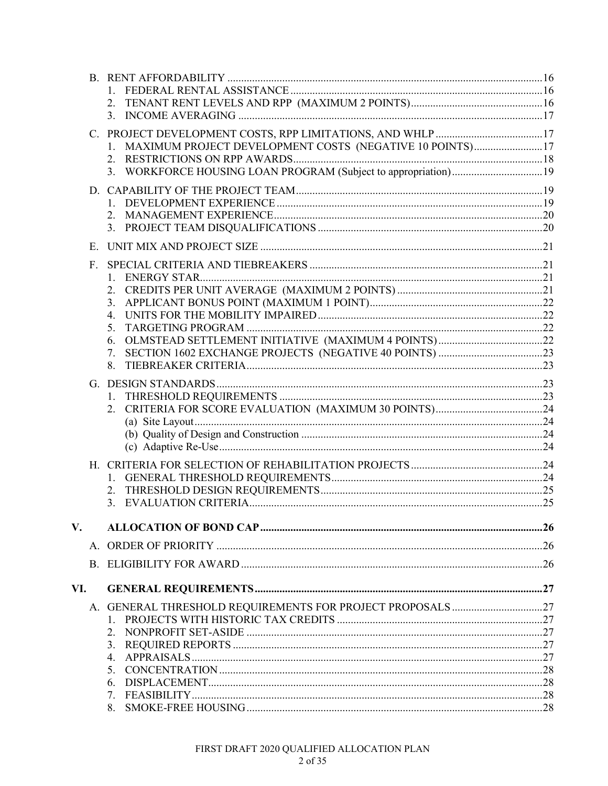|     |              | 2.                                                              |  |
|-----|--------------|-----------------------------------------------------------------|--|
|     |              |                                                                 |  |
|     |              |                                                                 |  |
|     |              | 1. MAXIMUM PROJECT DEVELOPMENT COSTS (NEGATIVE 10 POINTS)17     |  |
|     |              |                                                                 |  |
|     |              | 3. WORKFORCE HOUSING LOAN PROGRAM (Subject to appropriation) 19 |  |
|     |              |                                                                 |  |
|     |              |                                                                 |  |
|     |              |                                                                 |  |
|     |              | 2.                                                              |  |
|     |              |                                                                 |  |
|     | Е.           |                                                                 |  |
|     | $F_{\rm{L}}$ |                                                                 |  |
|     |              |                                                                 |  |
|     |              |                                                                 |  |
|     |              |                                                                 |  |
|     |              |                                                                 |  |
|     |              | 5.                                                              |  |
|     |              |                                                                 |  |
|     |              | 6.                                                              |  |
|     |              | 7.<br>8.                                                        |  |
|     |              |                                                                 |  |
|     |              |                                                                 |  |
|     |              |                                                                 |  |
|     |              |                                                                 |  |
|     |              |                                                                 |  |
|     |              |                                                                 |  |
|     |              |                                                                 |  |
|     |              |                                                                 |  |
|     |              |                                                                 |  |
|     |              |                                                                 |  |
|     |              | 3.                                                              |  |
|     |              |                                                                 |  |
| V.  |              |                                                                 |  |
|     |              |                                                                 |  |
|     |              |                                                                 |  |
|     |              |                                                                 |  |
| VI. |              |                                                                 |  |
|     |              |                                                                 |  |
|     |              |                                                                 |  |
|     |              | 2.                                                              |  |
|     |              | 3.                                                              |  |
|     |              | 4.                                                              |  |
|     |              | 5.                                                              |  |
|     |              | 6.                                                              |  |
|     |              |                                                                 |  |
|     |              |                                                                 |  |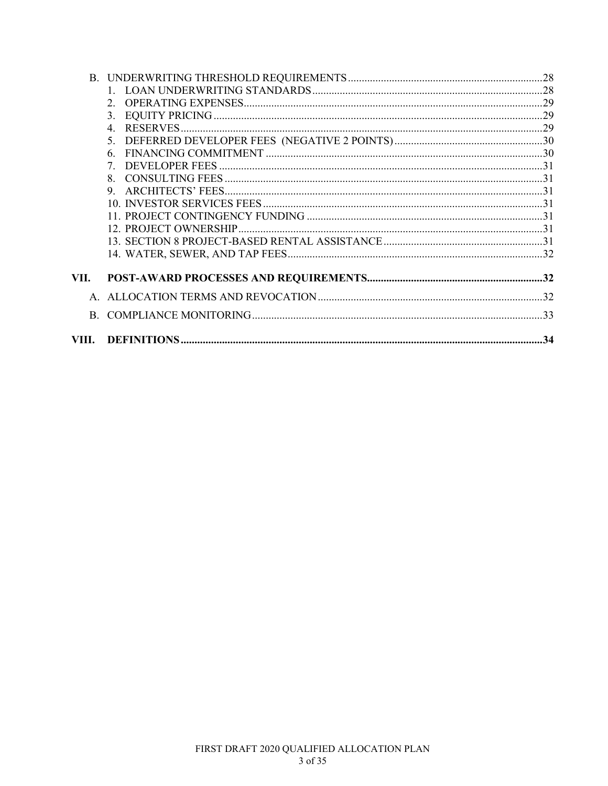|       | $\mathcal{D}$  |  |
|-------|----------------|--|
|       | 3.             |  |
|       | $\overline{4}$ |  |
|       | 5 <sub>1</sub> |  |
|       | 6.             |  |
|       | 7              |  |
|       | 8 <sub>1</sub> |  |
|       | 9.             |  |
|       |                |  |
|       |                |  |
|       |                |  |
|       |                |  |
|       |                |  |
| VII.  |                |  |
|       |                |  |
|       |                |  |
| VIII. |                |  |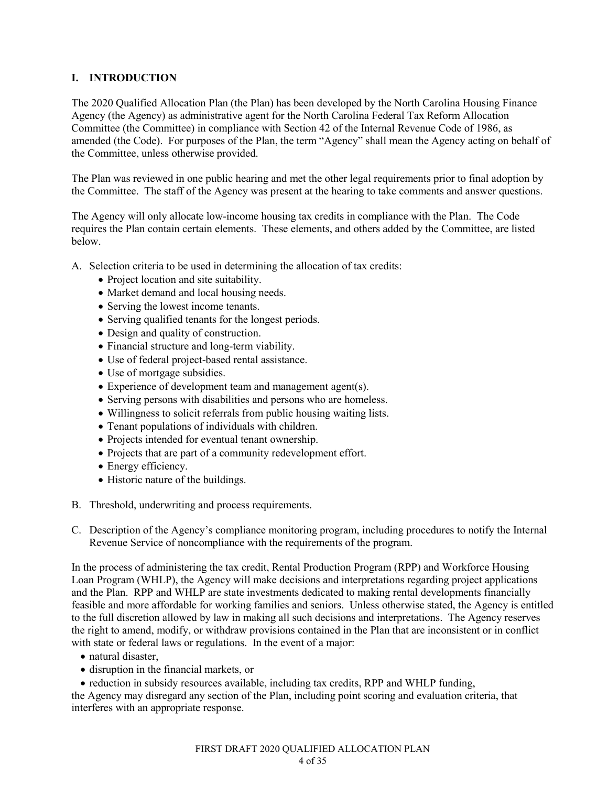# **I. INTRODUCTION**

The 2020 Qualified Allocation Plan (the Plan) has been developed by the North Carolina Housing Finance Agency (the Agency) as administrative agent for the North Carolina Federal Tax Reform Allocation Committee (the Committee) in compliance with Section 42 of the Internal Revenue Code of 1986, as amended (the Code). For purposes of the Plan, the term "Agency" shall mean the Agency acting on behalf of the Committee, unless otherwise provided.

The Plan was reviewed in one public hearing and met the other legal requirements prior to final adoption by the Committee. The staff of the Agency was present at the hearing to take comments and answer questions.

The Agency will only allocate low-income housing tax credits in compliance with the Plan. The Code requires the Plan contain certain elements. These elements, and others added by the Committee, are listed below.

A. Selection criteria to be used in determining the allocation of tax credits:

- Project location and site suitability.
- Market demand and local housing needs.
- Serving the lowest income tenants.
- Serving qualified tenants for the longest periods.
- Design and quality of construction.
- Financial structure and long-term viability.
- Use of federal project-based rental assistance.
- Use of mortgage subsidies.
- Experience of development team and management agent(s).
- Serving persons with disabilities and persons who are homeless.
- Willingness to solicit referrals from public housing waiting lists.
- Tenant populations of individuals with children.
- Projects intended for eventual tenant ownership.
- Projects that are part of a community redevelopment effort.
- Energy efficiency.
- Historic nature of the buildings.
- B. Threshold, underwriting and process requirements.
- C. Description of the Agency's compliance monitoring program, including procedures to notify the Internal Revenue Service of noncompliance with the requirements of the program.

In the process of administering the tax credit, Rental Production Program (RPP) and Workforce Housing Loan Program (WHLP), the Agency will make decisions and interpretations regarding project applications and the Plan. RPP and WHLP are state investments dedicated to making rental developments financially feasible and more affordable for working families and seniors. Unless otherwise stated, the Agency is entitled to the full discretion allowed by law in making all such decisions and interpretations. The Agency reserves the right to amend, modify, or withdraw provisions contained in the Plan that are inconsistent or in conflict with state or federal laws or regulations. In the event of a major:

- natural disaster,
- disruption in the financial markets, or
- reduction in subsidy resources available, including tax credits, RPP and WHLP funding,

the Agency may disregard any section of the Plan, including point scoring and evaluation criteria, that interferes with an appropriate response.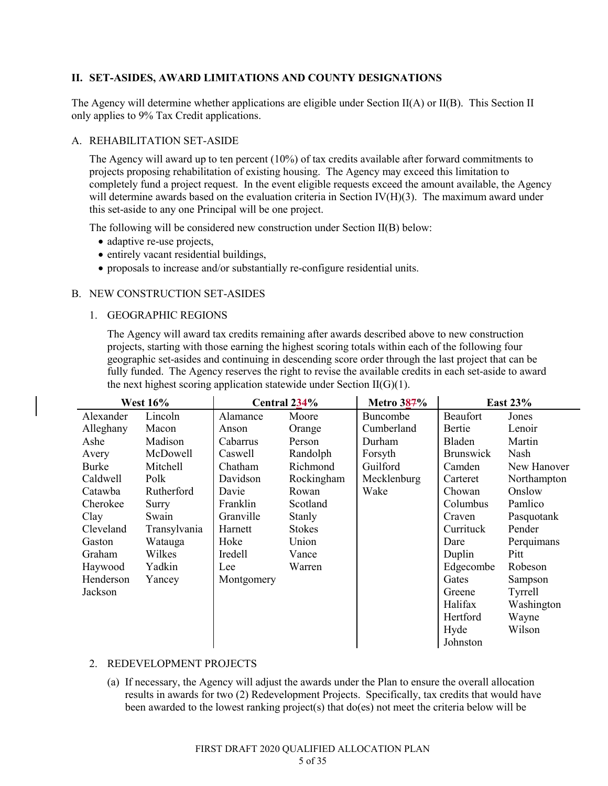# **II. SET-ASIDES, AWARD LIMITATIONS AND COUNTY DESIGNATIONS**

The Agency will determine whether applications are eligible under Section II(A) or II(B). This Section II only applies to 9% Tax Credit applications.

### A. REHABILITATION SET-ASIDE

The Agency will award up to ten percent (10%) of tax credits available after forward commitments to projects proposing rehabilitation of existing housing. The Agency may exceed this limitation to completely fund a project request. In the event eligible requests exceed the amount available, the Agency will determine awards based on the evaluation criteria in Section IV(H)(3). The maximum award under this set-aside to any one Principal will be one project.

The following will be considered new construction under Section II(B) below:

- adaptive re-use projects,
- entirely vacant residential buildings,
- proposals to increase and/or substantially re-configure residential units.

### B. NEW CONSTRUCTION SET-ASIDES

1. GEOGRAPHIC REGIONS

The Agency will award tax credits remaining after awards described above to new construction projects, starting with those earning the highest scoring totals within each of the following four geographic set-asides and continuing in descending score order through the last project that can be fully funded. The Agency reserves the right to revise the available credits in each set-aside to award the next highest scoring application statewide under Section  $II(G)(1)$ .

|           | <b>West 16%</b> |            | Central 234%  | <b>Metro 387%</b> |                  | <b>East 23%</b> |
|-----------|-----------------|------------|---------------|-------------------|------------------|-----------------|
| Alexander | Lincoln         | Alamance   | Moore         | Buncombe          | Beaufort         | Jones           |
| Alleghany | Macon           | Anson      | Orange        | Cumberland        | Bertie           | Lenoir          |
| Ashe      | Madison         | Cabarrus   | Person        | Durham            | Bladen           | Martin          |
| Avery     | McDowell        | Caswell    | Randolph      | Forsyth           | <b>Brunswick</b> | Nash            |
| Burke     | Mitchell        | Chatham    | Richmond      | Guilford          | Camden           | New Hanover     |
| Caldwell  | Polk            | Davidson   | Rockingham    | Mecklenburg       | Carteret         | Northampton     |
| Catawba   | Rutherford      | Davie      | Rowan         | Wake              | Chowan           | Onslow          |
| Cherokee  | Surry           | Franklin   | Scotland      |                   | Columbus         | Pamlico         |
| Clay      | Swain           | Granville  | Stanly        |                   | Craven           | Pasquotank      |
| Cleveland | Transylvania    | Harnett    | <b>Stokes</b> |                   | Currituck        | Pender          |
| Gaston    | Watauga         | Hoke       | Union         |                   | Dare             | Perquimans      |
| Graham    | Wilkes          | Iredell    | Vance         |                   | Duplin           | Pitt            |
| Haywood   | Yadkin          | Lee        | Warren        |                   | Edgecombe        | Robeson         |
| Henderson | Yancey          | Montgomery |               |                   | Gates            | Sampson         |
| Jackson   |                 |            |               |                   | Greene           | Tyrrell         |
|           |                 |            |               |                   | Halifax          | Washington      |
|           |                 |            |               |                   | Hertford         | Wayne           |
|           |                 |            |               |                   | Hyde             | Wilson          |
|           |                 |            |               |                   | Johnston         |                 |

# 2. REDEVELOPMENT PROJECTS

(a) If necessary, the Agency will adjust the awards under the Plan to ensure the overall allocation results in awards for two (2) Redevelopment Projects. Specifically, tax credits that would have been awarded to the lowest ranking project(s) that do(es) not meet the criteria below will be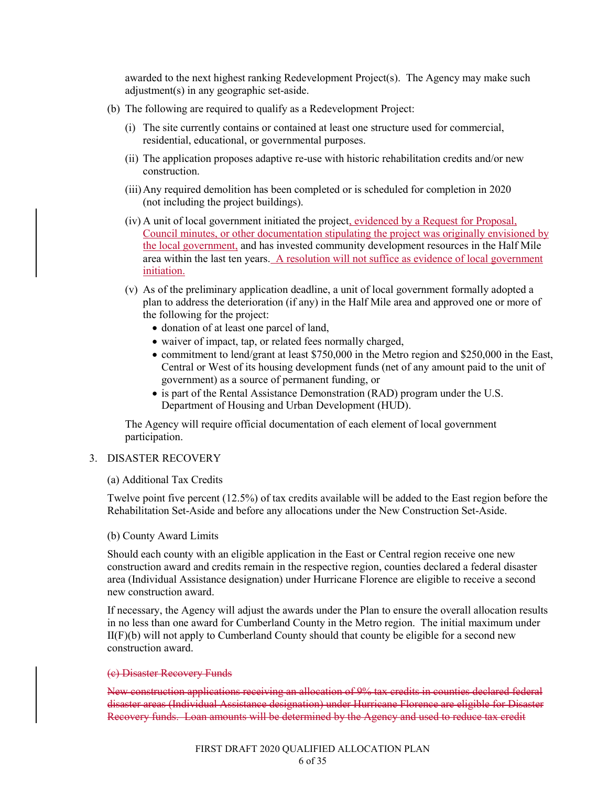awarded to the next highest ranking Redevelopment Project(s). The Agency may make such adjustment(s) in any geographic set-aside.

- (b) The following are required to qualify as a Redevelopment Project:
	- (i) The site currently contains or contained at least one structure used for commercial, residential, educational, or governmental purposes.
	- (ii) The application proposes adaptive re-use with historic rehabilitation credits and/or new construction.
	- (iii)Any required demolition has been completed or is scheduled for completion in 2020 (not including the project buildings).
	- (iv) A unit of local government initiated the project, evidenced by a Request for Proposal, Council minutes, or other documentation stipulating the project was originally envisioned by the local government, and has invested community development resources in the Half Mile area within the last ten years. A resolution will not suffice as evidence of local government initiation.
	- (v) As of the preliminary application deadline, a unit of local government formally adopted a plan to address the deterioration (if any) in the Half Mile area and approved one or more of the following for the project:
		- donation of at least one parcel of land,
		- waiver of impact, tap, or related fees normally charged,
		- commitment to lend/grant at least \$750,000 in the Metro region and \$250,000 in the East, Central or West of its housing development funds (net of any amount paid to the unit of government) as a source of permanent funding, or
		- is part of the Rental Assistance Demonstration (RAD) program under the U.S. Department of Housing and Urban Development (HUD).

The Agency will require official documentation of each element of local government participation.

# 3. DISASTER RECOVERY

#### (a) Additional Tax Credits

Twelve point five percent (12.5%) of tax credits available will be added to the East region before the Rehabilitation Set-Aside and before any allocations under the New Construction Set-Aside.

#### (b) County Award Limits

Should each county with an eligible application in the East or Central region receive one new construction award and credits remain in the respective region, counties declared a federal disaster area (Individual Assistance designation) under Hurricane Florence are eligible to receive a second new construction award.

If necessary, the Agency will adjust the awards under the Plan to ensure the overall allocation results in no less than one award for Cumberland County in the Metro region. The initial maximum under  $II(F)(b)$  will not apply to Cumberland County should that county be eligible for a second new construction award.

#### (c) Disaster Recovery Funds

New construction applications receiving an allocation of 9% tax credits in counties declared federal disaster areas (Individual Assistance designation) under Hurricane Florence are eligible for Disaster Recovery funds. Loan amounts will be determined by the Agency and used to reduce tax credit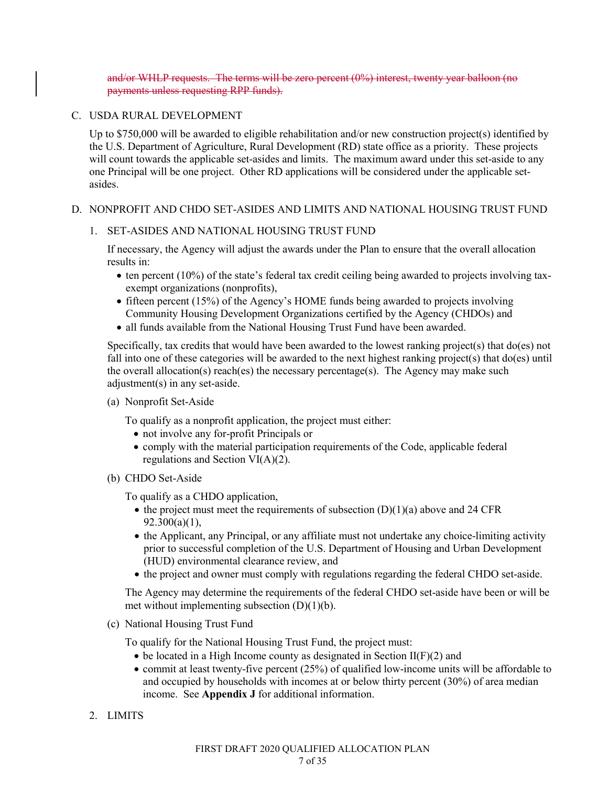and/or WHLP requests. The terms will be zero percent (0%) interest, twenty year balloon (no payments unless requesting RPP funds).

# C. USDA RURAL DEVELOPMENT

Up to \$750,000 will be awarded to eligible rehabilitation and/or new construction project(s) identified by the U.S. Department of Agriculture, Rural Development (RD) state office as a priority. These projects will count towards the applicable set-asides and limits. The maximum award under this set-aside to any one Principal will be one project. Other RD applications will be considered under the applicable setasides.

### D. NONPROFIT AND CHDO SET-ASIDES AND LIMITS AND NATIONAL HOUSING TRUST FUND

### 1. SET-ASIDES AND NATIONAL HOUSING TRUST FUND

If necessary, the Agency will adjust the awards under the Plan to ensure that the overall allocation results in:

- $\bullet$  ten percent (10%) of the state's federal tax credit ceiling being awarded to projects involving taxexempt organizations (nonprofits),
- fifteen percent (15%) of the Agency's HOME funds being awarded to projects involving Community Housing Development Organizations certified by the Agency (CHDOs) and
- all funds available from the National Housing Trust Fund have been awarded.

Specifically, tax credits that would have been awarded to the lowest ranking project(s) that do(es) not fall into one of these categories will be awarded to the next highest ranking project(s) that do(es) until the overall allocation(s) reach(es) the necessary percentage(s). The Agency may make such adjustment(s) in any set-aside.

(a) Nonprofit Set-Aside

To qualify as a nonprofit application, the project must either:

- not involve any for-profit Principals or
- comply with the material participation requirements of the Code, applicable federal regulations and Section VI(A)(2).
- (b) CHDO Set-Aside

To qualify as a CHDO application,

- the project must meet the requirements of subsection  $(D)(1)(a)$  above and 24 CFR 92.300(a)(1),
- the Applicant, any Principal, or any affiliate must not undertake any choice-limiting activity prior to successful completion of the U.S. Department of Housing and Urban Development (HUD) environmental clearance review, and
- the project and owner must comply with regulations regarding the federal CHDO set-aside.

The Agency may determine the requirements of the federal CHDO set-aside have been or will be met without implementing subsection  $(D)(1)(b)$ .

(c) National Housing Trust Fund

To qualify for the National Housing Trust Fund, the project must:

- $\bullet$  be located in a High Income county as designated in Section II(F)(2) and
- commit at least twenty-five percent (25%) of qualified low-income units will be affordable to and occupied by households with incomes at or below thirty percent (30%) of area median income. See **Appendix J** for additional information.
- 2. LIMITS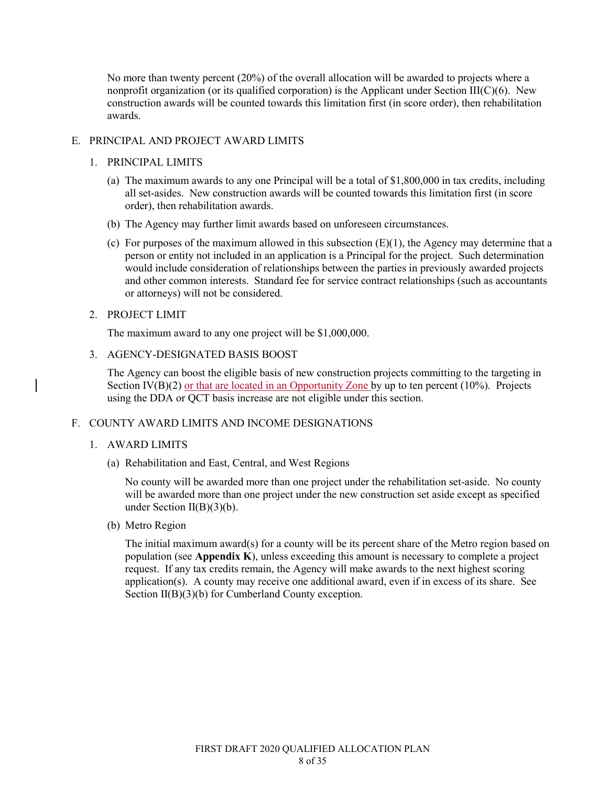No more than twenty percent (20%) of the overall allocation will be awarded to projects where a nonprofit organization (or its qualified corporation) is the Applicant under Section III( $C$ )(6). New construction awards will be counted towards this limitation first (in score order), then rehabilitation awards.

### E. PRINCIPAL AND PROJECT AWARD LIMITS

### 1. PRINCIPAL LIMITS

- (a) The maximum awards to any one Principal will be a total of \$1,800,000 in tax credits, including all set-asides. New construction awards will be counted towards this limitation first (in score order), then rehabilitation awards.
- (b) The Agency may further limit awards based on unforeseen circumstances.
- (c) For purposes of the maximum allowed in this subsection  $(E)(1)$ , the Agency may determine that a person or entity not included in an application is a Principal for the project. Such determination would include consideration of relationships between the parties in previously awarded projects and other common interests. Standard fee for service contract relationships (such as accountants or attorneys) will not be considered.

### 2. PROJECT LIMIT

The maximum award to any one project will be \$1,000,000.

3. AGENCY-DESIGNATED BASIS BOOST

The Agency can boost the eligible basis of new construction projects committing to the targeting in Section  $\Gamma\Gamma(B)(2)$  or that are located in an Opportunity Zone by up to ten percent (10%). Projects using the DDA or QCT basis increase are not eligible under this section.

# F. COUNTY AWARD LIMITS AND INCOME DESIGNATIONS

# 1. AWARD LIMITS

(a) Rehabilitation and East, Central, and West Regions

No county will be awarded more than one project under the rehabilitation set-aside. No county will be awarded more than one project under the new construction set aside except as specified under Section  $II(B)(3)(b)$ .

(b) Metro Region

The initial maximum award(s) for a county will be its percent share of the Metro region based on population (see **Appendix K**), unless exceeding this amount is necessary to complete a project request. If any tax credits remain, the Agency will make awards to the next highest scoring application(s). A county may receive one additional award, even if in excess of its share. See Section II(B)(3)(b) for Cumberland County exception.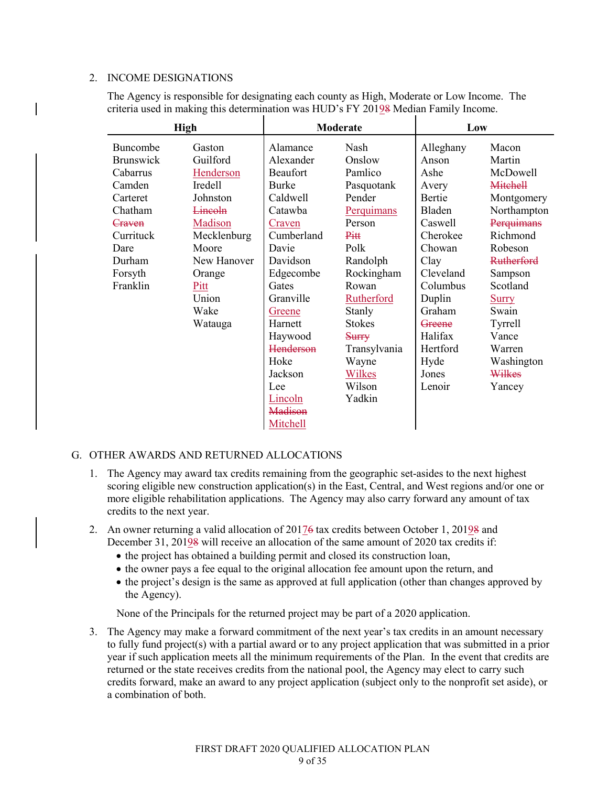### 2. INCOME DESIGNATIONS

The Agency is responsible for designating each county as High, Moderate or Low Income. The criteria used in making this determination was HUD's FY 20198 Median Family Income.

|                  | <b>High</b>    |              | Moderate          | Low       |                   |
|------------------|----------------|--------------|-------------------|-----------|-------------------|
| Buncombe         | Gaston         | Alamance     | Nash              | Alleghany | Macon             |
| <b>Brunswick</b> | Guilford       | Alexander    | Onslow            | Anson     | Martin            |
| Cabarrus         | Henderson      | Beaufort     | Pamlico           | Ashe      | McDowell          |
| Camden           | Iredell        | <b>Burke</b> | Pasquotank        | Avery     | <b>Mitchell</b>   |
| Carteret         | Johnston       | Caldwell     | Pender            | Bertie    | Montgomery        |
| Chatham          | <b>Lincoln</b> | Catawba      | Perquimans        | Bladen    | Northampton       |
| Craven           | Madison        | Craven       | Person            | Caswell   | Perquimans        |
| Currituck        | Mecklenburg    | Cumberland   | Pitt              | Cherokee  | Richmond          |
| Dare             | Moore          | Davie        | Polk              | Chowan    | Robeson           |
| Durham           | New Hanover    | Davidson     | Randolph          | Clay      | <b>Rutherford</b> |
| Forsyth          | Orange         | Edgecombe    | Rockingham        | Cleveland | Sampson           |
| Franklin         | Pitt           | Gates        | Rowan             | Columbus  | Scotland          |
|                  | Union          | Granville    | <b>Rutherford</b> | Duplin    | <b>Surry</b>      |
|                  | Wake           | Greene       | Stanly            | Graham    | Swain             |
|                  | Watauga        | Harnett      | <b>Stokes</b>     | Greene    | Tyrrell           |
|                  |                | Haywood      | Surry             | Halifax   | Vance             |
|                  |                | Henderson    | Transylvania      | Hertford  | Warren            |
|                  |                | Hoke         | Wayne             | Hyde      | Washington        |
|                  |                | Jackson      | Wilkes            | Jones     | Wilkes            |
|                  |                | Lee          | Wilson            | Lenoir    | Yancey            |
|                  |                | Lincoln      | Yadkin            |           |                   |
|                  |                | Madison      |                   |           |                   |
|                  |                | Mitchell     |                   |           |                   |

### G. OTHER AWARDS AND RETURNED ALLOCATIONS

- 1. The Agency may award tax credits remaining from the geographic set-asides to the next highest scoring eligible new construction application(s) in the East, Central, and West regions and/or one or more eligible rehabilitation applications. The Agency may also carry forward any amount of tax credits to the next year.
- 2. An owner returning a valid allocation of 20176 tax credits between October 1, 20198 and December 31, 20198 will receive an allocation of the same amount of 2020 tax credits if:
	- the project has obtained a building permit and closed its construction loan,
	- the owner pays a fee equal to the original allocation fee amount upon the return, and
	- the project's design is the same as approved at full application (other than changes approved by the Agency).

None of the Principals for the returned project may be part of a 2020 application.

3. The Agency may make a forward commitment of the next year's tax credits in an amount necessary to fully fund project(s) with a partial award or to any project application that was submitted in a prior year if such application meets all the minimum requirements of the Plan. In the event that credits are returned or the state receives credits from the national pool, the Agency may elect to carry such credits forward, make an award to any project application (subject only to the nonprofit set aside), or a combination of both.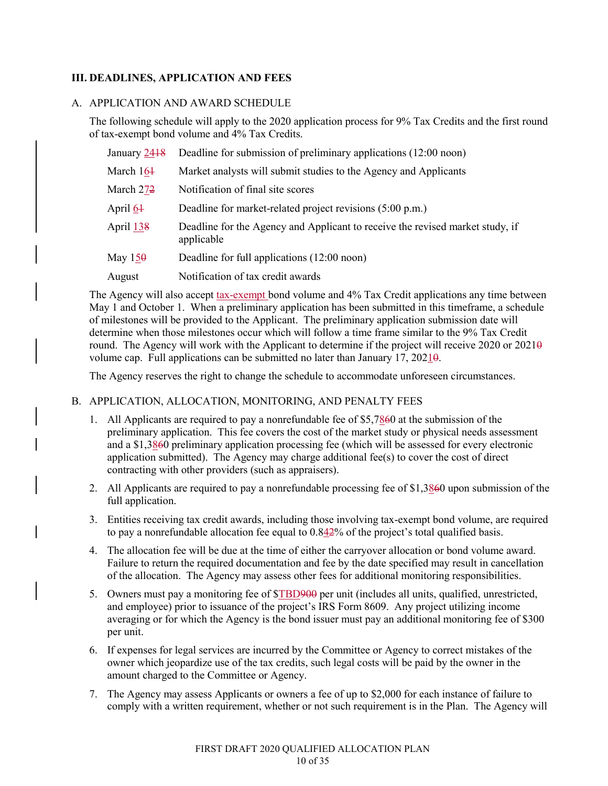# **III. DEADLINES, APPLICATION AND FEES**

### A. APPLICATION AND AWARD SCHEDULE

The following schedule will apply to the 2020 application process for 9% Tax Credits and the first round of tax-exempt bond volume and 4% Tax Credits.

| January 2418 | Deadline for submission of preliminary applications (12:00 noon)                            |
|--------------|---------------------------------------------------------------------------------------------|
| March 164    | Market analysts will submit studies to the Agency and Applicants                            |
| March 272    | Notification of final site scores                                                           |
| April 64     | Deadline for market-related project revisions (5:00 p.m.)                                   |
| April 138    | Deadline for the Agency and Applicant to receive the revised market study, if<br>applicable |
| May $150$    | Deadline for full applications (12:00 noon)                                                 |
| August       | Notification of tax credit awards                                                           |

The Agency will also accept tax-exempt bond volume and 4% Tax Credit applications any time between May 1 and October 1. When a preliminary application has been submitted in this timeframe, a schedule of milestones will be provided to the Applicant. The preliminary application submission date will determine when those milestones occur which will follow a time frame similar to the 9% Tax Credit round. The Agency will work with the Applicant to determine if the project will receive 2020 or  $2021\theta$ volume cap. Full applications can be submitted no later than January 17, 20210.

The Agency reserves the right to change the schedule to accommodate unforeseen circumstances.

### B. APPLICATION, ALLOCATION, MONITORING, AND PENALTY FEES

- 1. All Applicants are required to pay a nonrefundable fee of \$5,7860 at the submission of the preliminary application. This fee covers the cost of the market study or physical needs assessment and a \$1,3860 preliminary application processing fee (which will be assessed for every electronic application submitted). The Agency may charge additional fee(s) to cover the cost of direct contracting with other providers (such as appraisers).
- 2. All Applicants are required to pay a nonrefundable processing fee of \$1,3860 upon submission of the full application.
- 3. Entities receiving tax credit awards, including those involving tax-exempt bond volume, are required to pay a nonrefundable allocation fee equal to 0.842% of the project's total qualified basis.
- 4. The allocation fee will be due at the time of either the carryover allocation or bond volume award. Failure to return the required documentation and fee by the date specified may result in cancellation of the allocation. The Agency may assess other fees for additional monitoring responsibilities.
- 5. Owners must pay a monitoring fee of  $TBD900$  per unit (includes all units, qualified, unrestricted, and employee) prior to issuance of the project's IRS Form 8609. Any project utilizing income averaging or for which the Agency is the bond issuer must pay an additional monitoring fee of \$300 per unit.
- 6. If expenses for legal services are incurred by the Committee or Agency to correct mistakes of the owner which jeopardize use of the tax credits, such legal costs will be paid by the owner in the amount charged to the Committee or Agency.
- 7. The Agency may assess Applicants or owners a fee of up to \$2,000 for each instance of failure to comply with a written requirement, whether or not such requirement is in the Plan. The Agency will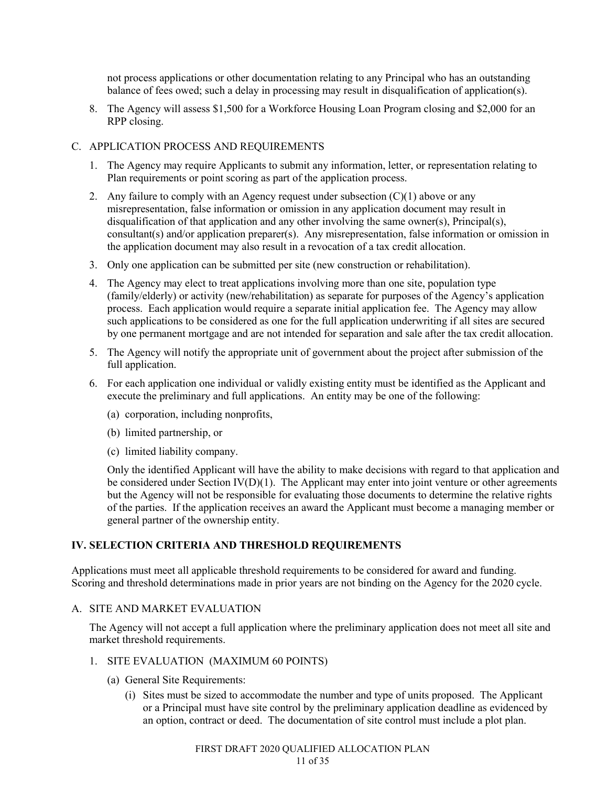not process applications or other documentation relating to any Principal who has an outstanding balance of fees owed; such a delay in processing may result in disqualification of application(s).

8. The Agency will assess \$1,500 for a Workforce Housing Loan Program closing and \$2,000 for an RPP closing.

### C. APPLICATION PROCESS AND REQUIREMENTS

- 1. The Agency may require Applicants to submit any information, letter, or representation relating to Plan requirements or point scoring as part of the application process.
- 2. Any failure to comply with an Agency request under subsection  $(C)(1)$  above or any misrepresentation, false information or omission in any application document may result in disqualification of that application and any other involving the same owner(s), Principal(s), consultant(s) and/or application preparer(s). Any misrepresentation, false information or omission in the application document may also result in a revocation of a tax credit allocation.
- 3. Only one application can be submitted per site (new construction or rehabilitation).
- 4. The Agency may elect to treat applications involving more than one site, population type (family/elderly) or activity (new/rehabilitation) as separate for purposes of the Agency's application process. Each application would require a separate initial application fee. The Agency may allow such applications to be considered as one for the full application underwriting if all sites are secured by one permanent mortgage and are not intended for separation and sale after the tax credit allocation.
- 5. The Agency will notify the appropriate unit of government about the project after submission of the full application.
- 6. For each application one individual or validly existing entity must be identified as the Applicant and execute the preliminary and full applications. An entity may be one of the following:
	- (a) corporation, including nonprofits,
	- (b) limited partnership, or
	- (c) limited liability company.

Only the identified Applicant will have the ability to make decisions with regard to that application and be considered under Section  $\text{IV}(D)(1)$ . The Applicant may enter into joint venture or other agreements but the Agency will not be responsible for evaluating those documents to determine the relative rights of the parties. If the application receives an award the Applicant must become a managing member or general partner of the ownership entity.

# **IV. SELECTION CRITERIA AND THRESHOLD REQUIREMENTS**

Applications must meet all applicable threshold requirements to be considered for award and funding. Scoring and threshold determinations made in prior years are not binding on the Agency for the 2020 cycle.

### A. SITE AND MARKET EVALUATION

The Agency will not accept a full application where the preliminary application does not meet all site and market threshold requirements.

### 1. SITE EVALUATION (MAXIMUM 60 POINTS)

- (a) General Site Requirements:
	- (i) Sites must be sized to accommodate the number and type of units proposed. The Applicant or a Principal must have site control by the preliminary application deadline as evidenced by an option, contract or deed. The documentation of site control must include a plot plan.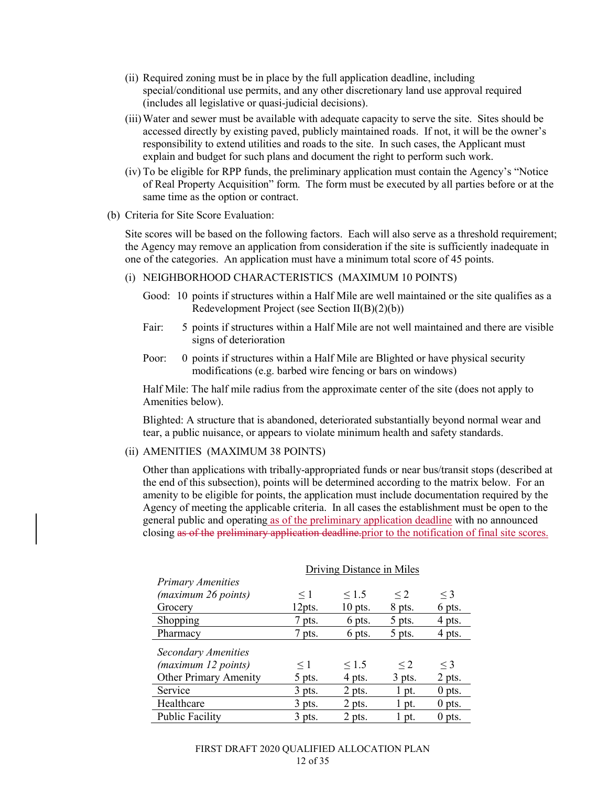- (ii) Required zoning must be in place by the full application deadline, including special/conditional use permits, and any other discretionary land use approval required (includes all legislative or quasi-judicial decisions).
- (iii)Water and sewer must be available with adequate capacity to serve the site. Sites should be accessed directly by existing paved, publicly maintained roads. If not, it will be the owner's responsibility to extend utilities and roads to the site. In such cases, the Applicant must explain and budget for such plans and document the right to perform such work.
- (iv) To be eligible for RPP funds, the preliminary application must contain the Agency's "Notice of Real Property Acquisition" form. The form must be executed by all parties before or at the same time as the option or contract.

### (b) Criteria for Site Score Evaluation:

Site scores will be based on the following factors. Each will also serve as a threshold requirement; the Agency may remove an application from consideration if the site is sufficiently inadequate in one of the categories. An application must have a minimum total score of 45 points.

- (i) NEIGHBORHOOD CHARACTERISTICS (MAXIMUM 10 POINTS)
	- Good: 10 points if structures within a Half Mile are well maintained or the site qualifies as a Redevelopment Project (see Section II(B)(2)(b))
	- Fair: 5 points if structures within a Half Mile are not well maintained and there are visible signs of deterioration
	- Poor: 0 points if structures within a Half Mile are Blighted or have physical security modifications (e.g. barbed wire fencing or bars on windows)

Half Mile: The half mile radius from the approximate center of the site (does not apply to Amenities below).

Blighted: A structure that is abandoned, deteriorated substantially beyond normal wear and tear, a public nuisance, or appears to violate minimum health and safety standards.

#### (ii) AMENITIES (MAXIMUM 38 POINTS)

Other than applications with tribally-appropriated funds or near bus/transit stops (described at the end of this subsection), points will be determined according to the matrix below. For an amenity to be eligible for points, the application must include documentation required by the Agency of meeting the applicable criteria. In all cases the establishment must be open to the general public and operating as of the preliminary application deadline with no announced closing as of the preliminary application deadline.prior to the notification of final site scores.

|                              | Driving Distance in Miles |            |          |          |
|------------------------------|---------------------------|------------|----------|----------|
| <b>Primary Amenities</b>     |                           |            |          |          |
| (maximum 26 points)          | $\leq 1$                  | $\leq 1.5$ | $\leq$ 2 | $\leq$ 3 |
| Grocery                      | 12pts.                    | $10$ pts.  | 8 pts.   | 6 pts.   |
| Shopping                     | 7 pts.                    | 6 pts.     | 5 pts.   | 4 pts.   |
| Pharmacy                     | 7 pts.                    | 6 pts.     | 5 pts.   | 4 pts.   |
| <b>Secondary Amenities</b>   |                           |            |          |          |
| (maximum 12 points)          | $\leq$ 1                  | $\leq 1.5$ | $\leq$ 2 | $\leq$ 3 |
| <b>Other Primary Amenity</b> | 5 pts.                    | 4 pts.     | 3 pts.   | 2 pts.   |
| Service                      | $3$ pts.                  | 2 pts.     | $1$ pt.  | $0$ pts. |
| Healthcare                   | $3$ pts.                  | 2 pts.     | $1$ pt.  | $0$ pts. |
| <b>Public Facility</b>       | 3 pts.                    | 2 pts.     | l pt.    | $0$ pts. |

#### FIRST DRAFT 2020 QUALIFIED ALLOCATION PLAN 12 of 35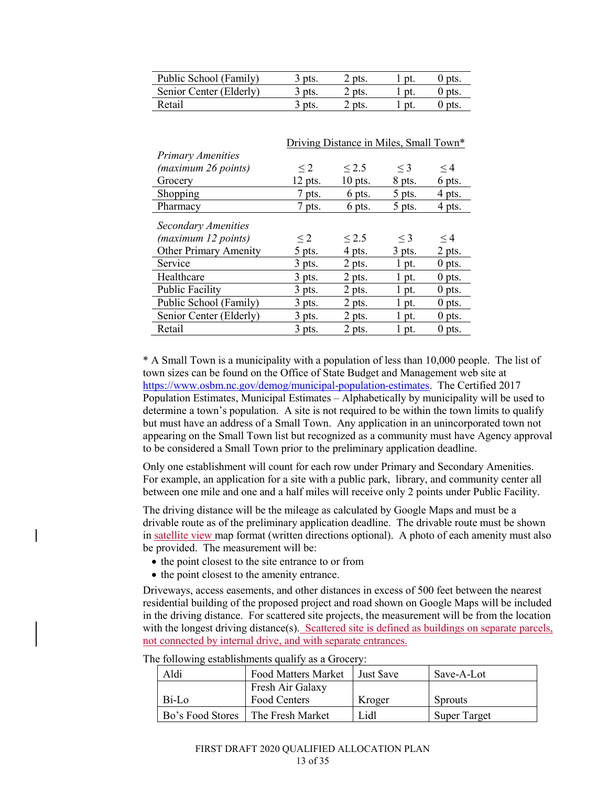| Public School (Family)  | $\beta$ pts.        | $2$ pts. | $0$ pts. |
|-------------------------|---------------------|----------|----------|
| Senior Center (Elderly) | $\frac{1}{2}$ pts.  | 2 pts.   | $0$ pts. |
| Retail                  | $\overline{3}$ pts. | 2 pts.   | $0$ pts. |

|                              | Driving Distance in Miles, Small Town* |            |          |          |
|------------------------------|----------------------------------------|------------|----------|----------|
| <b>Primary Amenities</b>     |                                        |            |          |          |
| (maximum 26 points)          | $\leq$ 2                               | $\leq$ 2.5 | $\leq$ 3 | $\leq$ 4 |
| Grocery                      | $12$ pts.                              | $10$ pts.  | 8 pts.   | 6 pts.   |
| Shopping                     | 7 pts.                                 | 6 pts.     | 5 pts.   | 4 pts.   |
| Pharmacy                     | 7 pts.                                 | 6 pts.     | 5 pts.   | 4 pts.   |
| Secondary Amenities          |                                        |            |          |          |
| (maximum 12 points)          | $\leq$ 2                               | $\leq$ 2.5 | $\leq$ 3 | $\leq$ 4 |
| <b>Other Primary Amenity</b> | 5 pts.                                 | 4 pts.     | $3$ pts. | 2 pts.   |
| Service                      | $3$ pts.                               | 2 pts.     | $1$ pt.  | $0$ pts. |
| Healthcare                   | $3$ pts.                               | 2 pts.     | 1 pt.    | $0$ pts. |
| <b>Public Facility</b>       | $3$ pts.                               | 2 pts.     | $1$ pt.  | $0$ pts. |
| Public School (Family)       | $3$ pts.                               | 2 pts.     | $1$ pt.  | $0$ pts. |
| Senior Center (Elderly)      | $3$ pts.                               | 2 pts.     | 1 pt.    | $0$ pts. |
| Retail                       | $3$ pts.                               | 2 pts.     | $1$ pt.  | $0$ pts. |

\* A Small Town is a municipality with a population of less than 10,000 people. The list of town sizes can be found on the Office of State Budget and Management web site at https://www.osbm.nc.gov/demog/municipal-population-estimates. The Certified 2017 Population Estimates, Municipal Estimates – Alphabetically by municipality will be used to determine a town's population. A site is not required to be within the town limits to qualify but must have an address of a Small Town. Any application in an unincorporated town not appearing on the Small Town list but recognized as a community must have Agency approval to be considered a Small Town prior to the preliminary application deadline.

Only one establishment will count for each row under Primary and Secondary Amenities. For example, an application for a site with a public park, library, and community center all between one mile and one and a half miles will receive only 2 points under Public Facility.

The driving distance will be the mileage as calculated by Google Maps and must be a drivable route as of the preliminary application deadline. The drivable route must be shown in satellite view map format (written directions optional). A photo of each amenity must also be provided. The measurement will be:

- the point closest to the site entrance to or from
- the point closest to the amenity entrance.

Driveways, access easements, and other distances in excess of 500 feet between the nearest residential building of the proposed project and road shown on Google Maps will be included in the driving distance. For scattered site projects, the measurement will be from the location with the longest driving distance(s). Scattered site is defined as buildings on separate parcels, not connected by internal drive, and with separate entrances.

| Aldi  | <b>Food Matters Market</b>          | I Just Save | Save-A-Lot          |
|-------|-------------------------------------|-------------|---------------------|
|       | Fresh Air Galaxy                    |             |                     |
| Bi-Lo | Food Centers                        | Kroger      | <b>Sprouts</b>      |
|       | Bo's Food Stores   The Fresh Market | Lid1        | <b>Super Target</b> |

The following establishments qualify as a Grocery: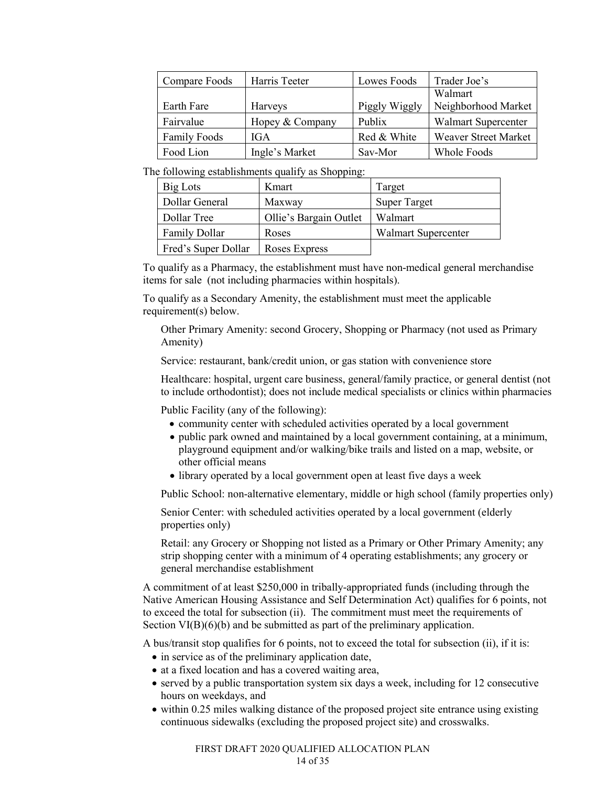| Compare Foods       | Harris Teeter   | Lowes Foods   | Trader Joe's                |
|---------------------|-----------------|---------------|-----------------------------|
|                     |                 |               | Walmart                     |
| Earth Fare          | <b>Harveys</b>  | Piggly Wiggly | Neighborhood Market         |
| Fairvalue           | Hopey & Company | Publix        | <b>Walmart Supercenter</b>  |
| <b>Family Foods</b> | <b>IGA</b>      | Red & White   | <b>Weaver Street Market</b> |
| Food Lion           | Ingle's Market  | Sav-Mor       | Whole Foods                 |

The following establishments qualify as Shopping:

| Big Lots             | Kmart                  | Target                     |
|----------------------|------------------------|----------------------------|
| Dollar General       | Maxway                 | <b>Super Target</b>        |
| Dollar Tree          | Ollie's Bargain Outlet | Walmart                    |
| <b>Family Dollar</b> | Roses                  | <b>Walmart Supercenter</b> |
| Fred's Super Dollar  | Roses Express          |                            |

To qualify as a Pharmacy, the establishment must have non-medical general merchandise items for sale (not including pharmacies within hospitals).

To qualify as a Secondary Amenity, the establishment must meet the applicable requirement(s) below.

Other Primary Amenity: second Grocery, Shopping or Pharmacy (not used as Primary Amenity)

Service: restaurant, bank/credit union, or gas station with convenience store

Healthcare: hospital, urgent care business, general/family practice, or general dentist (not to include orthodontist); does not include medical specialists or clinics within pharmacies

Public Facility (any of the following):

- community center with scheduled activities operated by a local government
- public park owned and maintained by a local government containing, at a minimum, playground equipment and/or walking/bike trails and listed on a map, website, or other official means
- library operated by a local government open at least five days a week

Public School: non-alternative elementary, middle or high school (family properties only)

Senior Center: with scheduled activities operated by a local government (elderly properties only)

Retail: any Grocery or Shopping not listed as a Primary or Other Primary Amenity; any strip shopping center with a minimum of 4 operating establishments; any grocery or general merchandise establishment

A commitment of at least \$250,000 in tribally-appropriated funds (including through the Native American Housing Assistance and Self Determination Act) qualifies for 6 points, not to exceed the total for subsection (ii). The commitment must meet the requirements of Section VI(B)(6)(b) and be submitted as part of the preliminary application.

A bus/transit stop qualifies for 6 points, not to exceed the total for subsection (ii), if it is:

- in service as of the preliminary application date,
- at a fixed location and has a covered waiting area,
- served by a public transportation system six days a week, including for 12 consecutive hours on weekdays, and
- within 0.25 miles walking distance of the proposed project site entrance using existing continuous sidewalks (excluding the proposed project site) and crosswalks.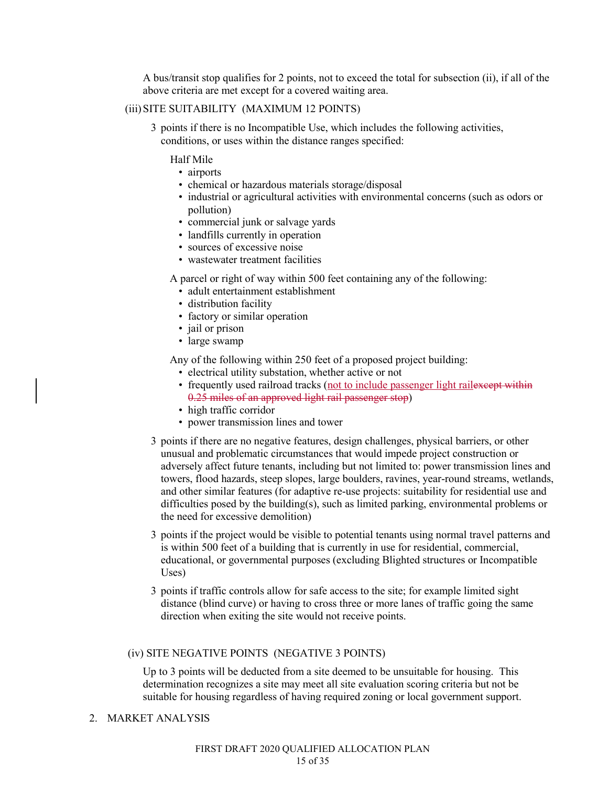A bus/transit stop qualifies for 2 points, not to exceed the total for subsection (ii), if all of the above criteria are met except for a covered waiting area.

### (iii)SITE SUITABILITY (MAXIMUM 12 POINTS)

3 points if there is no Incompatible Use, which includes the following activities, conditions, or uses within the distance ranges specified:

Half Mile

- airports
- chemical or hazardous materials storage/disposal
- industrial or agricultural activities with environmental concerns (such as odors or pollution)
- commercial junk or salvage yards
- landfills currently in operation
- sources of excessive noise
- wastewater treatment facilities

A parcel or right of way within 500 feet containing any of the following:

- adult entertainment establishment
- distribution facility
- factory or similar operation
- jail or prison
- large swamp

Any of the following within 250 feet of a proposed project building:

- electrical utility substation, whether active or not
- frequently used railroad tracks (not to include passenger light railexeept within 0.25 miles of an approved light rail passenger stop)
- high traffic corridor
- power transmission lines and tower
- 3 points if there are no negative features, design challenges, physical barriers, or other unusual and problematic circumstances that would impede project construction or adversely affect future tenants, including but not limited to: power transmission lines and towers, flood hazards, steep slopes, large boulders, ravines, year-round streams, wetlands, and other similar features (for adaptive re-use projects: suitability for residential use and difficulties posed by the building(s), such as limited parking, environmental problems or the need for excessive demolition)
- 3 points if the project would be visible to potential tenants using normal travel patterns and is within 500 feet of a building that is currently in use for residential, commercial, educational, or governmental purposes (excluding Blighted structures or Incompatible Uses)
- 3 points if traffic controls allow for safe access to the site; for example limited sight distance (blind curve) or having to cross three or more lanes of traffic going the same direction when exiting the site would not receive points.

### (iv) SITE NEGATIVE POINTS (NEGATIVE 3 POINTS)

Up to 3 points will be deducted from a site deemed to be unsuitable for housing. This determination recognizes a site may meet all site evaluation scoring criteria but not be suitable for housing regardless of having required zoning or local government support.

#### 2. MARKET ANALYSIS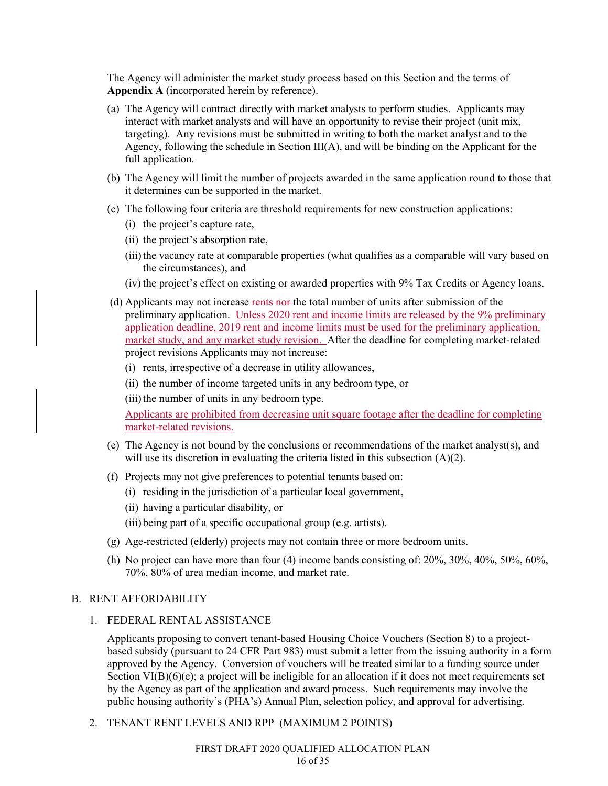The Agency will administer the market study process based on this Section and the terms of **Appendix A** (incorporated herein by reference).

- (a) The Agency will contract directly with market analysts to perform studies. Applicants may interact with market analysts and will have an opportunity to revise their project (unit mix, targeting). Any revisions must be submitted in writing to both the market analyst and to the Agency, following the schedule in Section  $III(A)$ , and will be binding on the Applicant for the full application.
- (b) The Agency will limit the number of projects awarded in the same application round to those that it determines can be supported in the market.
- (c) The following four criteria are threshold requirements for new construction applications:
	- (i) the project's capture rate,
	- (ii) the project's absorption rate,
	- (iii) the vacancy rate at comparable properties (what qualifies as a comparable will vary based on the circumstances), and
	- (iv) the project's effect on existing or awarded properties with 9% Tax Credits or Agency loans.
- (d) Applicants may not increase rents nor the total number of units after submission of the preliminary application. Unless 2020 rent and income limits are released by the 9% preliminary application deadline, 2019 rent and income limits must be used for the preliminary application, market study, and any market study revision. After the deadline for completing market-related project revisions Applicants may not increase:
	- (i) rents, irrespective of a decrease in utility allowances,
	- (ii) the number of income targeted units in any bedroom type, or
	- (iii) the number of units in any bedroom type.

Applicants are prohibited from decreasing unit square footage after the deadline for completing market-related revisions.

- (e) The Agency is not bound by the conclusions or recommendations of the market analyst(s), and will use its discretion in evaluating the criteria listed in this subsection (A)(2).
- (f) Projects may not give preferences to potential tenants based on:
	- (i) residing in the jurisdiction of a particular local government,
	- (ii) having a particular disability, or

(iii) being part of a specific occupational group (e.g. artists).

- (g) Age-restricted (elderly) projects may not contain three or more bedroom units.
- (h) No project can have more than four  $(4)$  income bands consisting of:  $20\%$ ,  $30\%$ ,  $40\%$ ,  $50\%$ ,  $60\%$ , 70%, 80% of area median income, and market rate.

#### B. RENT AFFORDABILITY

1. FEDERAL RENTAL ASSISTANCE

Applicants proposing to convert tenant-based Housing Choice Vouchers (Section 8) to a projectbased subsidy (pursuant to 24 CFR Part 983) must submit a letter from the issuing authority in a form approved by the Agency. Conversion of vouchers will be treated similar to a funding source under Section VI(B)(6)(e); a project will be ineligible for an allocation if it does not meet requirements set by the Agency as part of the application and award process. Such requirements may involve the public housing authority's (PHA's) Annual Plan, selection policy, and approval for advertising.

2. TENANT RENT LEVELS AND RPP (MAXIMUM 2 POINTS)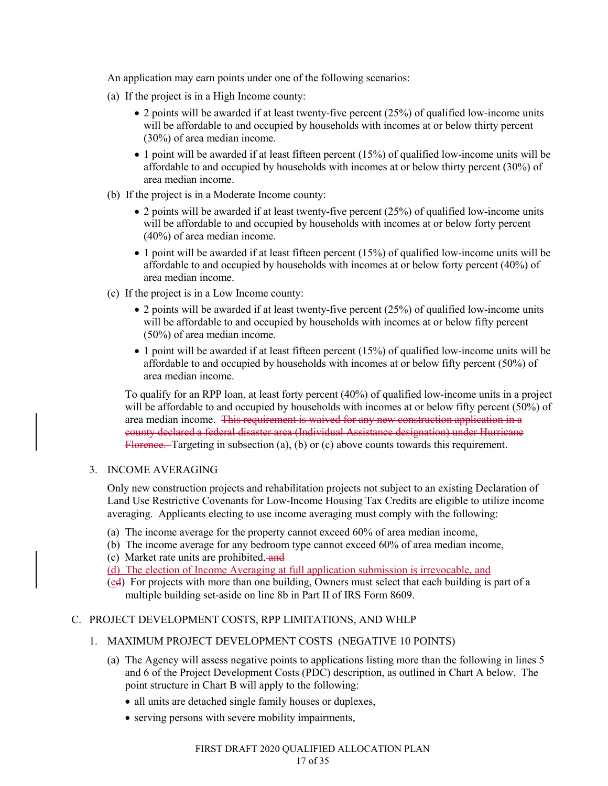An application may earn points under one of the following scenarios:

- (a) If the project is in a High Income county:
	- 2 points will be awarded if at least twenty-five percent (25%) of qualified low-income units will be affordable to and occupied by households with incomes at or below thirty percent (30%) of area median income.
	- 1 point will be awarded if at least fifteen percent (15%) of qualified low-income units will be affordable to and occupied by households with incomes at or below thirty percent (30%) of area median income.
- (b) If the project is in a Moderate Income county:
	- 2 points will be awarded if at least twenty-five percent (25%) of qualified low-income units will be affordable to and occupied by households with incomes at or below forty percent (40%) of area median income.
	- 1 point will be awarded if at least fifteen percent (15%) of qualified low-income units will be affordable to and occupied by households with incomes at or below forty percent (40%) of area median income.
- (c) If the project is in a Low Income county:
	- 2 points will be awarded if at least twenty-five percent (25%) of qualified low-income units will be affordable to and occupied by households with incomes at or below fifty percent (50%) of area median income.
	- 1 point will be awarded if at least fifteen percent (15%) of qualified low-income units will be affordable to and occupied by households with incomes at or below fifty percent (50%) of area median income.

To qualify for an RPP loan, at least forty percent (40%) of qualified low-income units in a project will be affordable to and occupied by households with incomes at or below fifty percent (50%) of area median income. This requirement is waived for any new construction application in a county declared a federal disaster area (Individual Assistance designation) under Hurricane Florence. Targeting in subsection (a), (b) or (c) above counts towards this requirement.

# 3. INCOME AVERAGING

Only new construction projects and rehabilitation projects not subject to an existing Declaration of Land Use Restrictive Covenants for Low-Income Housing Tax Credits are eligible to utilize income averaging. Applicants electing to use income averaging must comply with the following:

- (a) The income average for the property cannot exceed 60% of area median income,
- (b) The income average for any bedroom type cannot exceed 60% of area median income,
- (c) Market rate units are prohibited, and
- (d) The election of Income Averaging at full application submission is irrevocable, and
- (ed) For projects with more than one building, Owners must select that each building is part of a multiple building set-aside on line 8b in Part II of IRS Form 8609.

# C. PROJECT DEVELOPMENT COSTS, RPP LIMITATIONS, AND WHLP

- 1. MAXIMUM PROJECT DEVELOPMENT COSTS (NEGATIVE 10 POINTS)
	- (a) The Agency will assess negative points to applications listing more than the following in lines 5 and 6 of the Project Development Costs (PDC) description, as outlined in Chart A below. The point structure in Chart B will apply to the following:
		- all units are detached single family houses or duplexes,
		- serving persons with severe mobility impairments,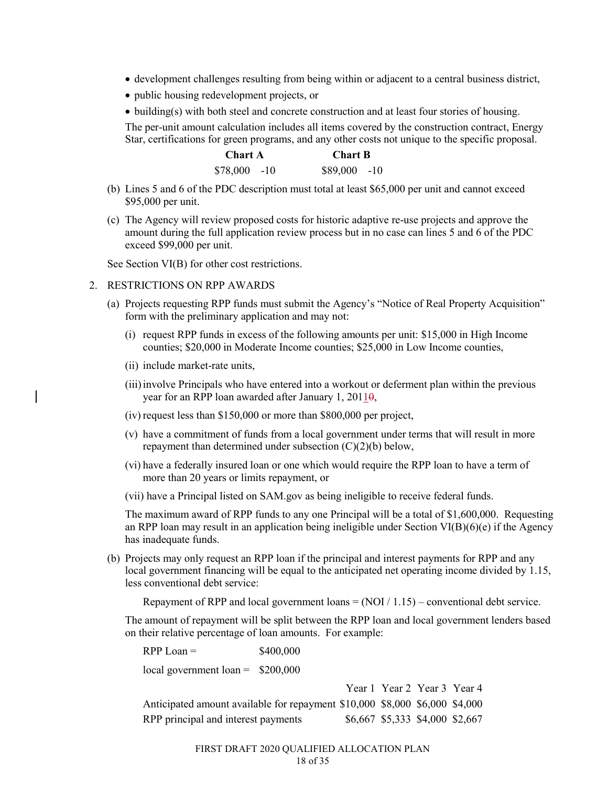- development challenges resulting from being within or adjacent to a central business district,
- public housing redevelopment projects, or

• building(s) with both steel and concrete construction and at least four stories of housing. The per-unit amount calculation includes all items covered by the construction contract, Energy Star, certifications for green programs, and any other costs not unique to the specific proposal.

| Chart A       |  |               | <b>Chart B</b> |  |  |
|---------------|--|---------------|----------------|--|--|
| $$78,000$ -10 |  | $$89,000$ -10 |                |  |  |

- (b) Lines 5 and 6 of the PDC description must total at least \$65,000 per unit and cannot exceed \$95,000 per unit.
- (c) The Agency will review proposed costs for historic adaptive re-use projects and approve the amount during the full application review process but in no case can lines 5 and 6 of the PDC exceed \$99,000 per unit.

See Section VI(B) for other cost restrictions.

- 2. RESTRICTIONS ON RPP AWARDS
	- (a) Projects requesting RPP funds must submit the Agency's "Notice of Real Property Acquisition" form with the preliminary application and may not:
		- (i) request RPP funds in excess of the following amounts per unit: \$15,000 in High Income counties; \$20,000 in Moderate Income counties; \$25,000 in Low Income counties,
		- (ii) include market-rate units,
		- (iii)involve Principals who have entered into a workout or deferment plan within the previous year for an RPP loan awarded after January 1,  $20110$ ,
		- (iv) request less than \$150,000 or more than \$800,000 per project,
		- (v) have a commitment of funds from a local government under terms that will result in more repayment than determined under subsection (C)(2)(b) below,
		- (vi) have a federally insured loan or one which would require the RPP loan to have a term of more than 20 years or limits repayment, or
		- (vii) have a Principal listed on SAM.gov as being ineligible to receive federal funds.

The maximum award of RPP funds to any one Principal will be a total of \$1,600,000. Requesting an RPP loan may result in an application being ineligible under Section VI(B)(6)(e) if the Agency has inadequate funds.

(b) Projects may only request an RPP loan if the principal and interest payments for RPP and any local government financing will be equal to the anticipated net operating income divided by 1.15, less conventional debt service:

Repayment of RPP and local government loans  $= (NOI / 1.15) -$  conventional debt service.

The amount of repayment will be split between the RPP loan and local government lenders based on their relative percentage of loan amounts. For example:

| $RPP$ Loan =                                                                | \$400,000 |  |                                 |  |  |
|-----------------------------------------------------------------------------|-----------|--|---------------------------------|--|--|
| local government loan = $$200,000$                                          |           |  |                                 |  |  |
|                                                                             |           |  | Year 1 Year 2 Year 3 Year 4     |  |  |
| Anticipated amount available for repayment \$10,000 \$8,000 \$6,000 \$4,000 |           |  |                                 |  |  |
| RPP principal and interest payments                                         |           |  | \$6,667 \$5,333 \$4,000 \$2,667 |  |  |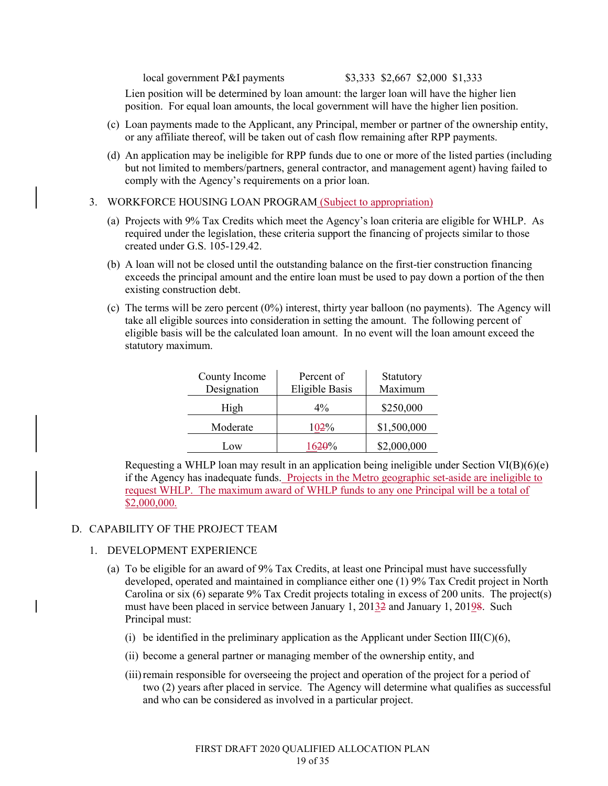local government P&I payments \$3,333 \$2,667 \$2,000 \$1,333

Lien position will be determined by loan amount: the larger loan will have the higher lien position. For equal loan amounts, the local government will have the higher lien position.

- (c) Loan payments made to the Applicant, any Principal, member or partner of the ownership entity, or any affiliate thereof, will be taken out of cash flow remaining after RPP payments.
- (d) An application may be ineligible for RPP funds due to one or more of the listed parties (including but not limited to members/partners, general contractor, and management agent) having failed to comply with the Agency's requirements on a prior loan.
- 3. WORKFORCE HOUSING LOAN PROGRAM (Subject to appropriation)
	- (a) Projects with 9% Tax Credits which meet the Agency's loan criteria are eligible for WHLP. As required under the legislation, these criteria support the financing of projects similar to those created under G.S. 105-129.42.
	- (b) A loan will not be closed until the outstanding balance on the first-tier construction financing exceeds the principal amount and the entire loan must be used to pay down a portion of the then existing construction debt.
	- (c) The terms will be zero percent  $(0\%)$  interest, thirty year balloon (no payments). The Agency will take all eligible sources into consideration in setting the amount. The following percent of eligible basis will be the calculated loan amount. In no event will the loan amount exceed the statutory maximum.

| County Income<br>Designation | Percent of<br>Eligible Basis | Statutory<br>Maximum |
|------------------------------|------------------------------|----------------------|
| High                         | $4\%$                        | \$250,000            |
| Moderate                     | 102%                         | \$1,500,000          |
| Low                          | 1620%                        | \$2,000,000          |

Requesting a WHLP loan may result in an application being ineligible under Section  $VI(B)(6)(e)$ if the Agency has inadequate funds. Projects in the Metro geographic set-aside are ineligible to request WHLP. The maximum award of WHLP funds to any one Principal will be a total of \$2,000,000.

### D. CAPABILITY OF THE PROJECT TEAM

### 1. DEVELOPMENT EXPERIENCE

- (a) To be eligible for an award of 9% Tax Credits, at least one Principal must have successfully developed, operated and maintained in compliance either one (1) 9% Tax Credit project in North Carolina or six (6) separate 9% Tax Credit projects totaling in excess of 200 units. The project(s) must have been placed in service between January 1, 20132 and January 1, 20198. Such Principal must:
	- (i) be identified in the preliminary application as the Applicant under Section III( $C$ )(6),
	- (ii) become a general partner or managing member of the ownership entity, and
	- (iii)remain responsible for overseeing the project and operation of the project for a period of two (2) years after placed in service. The Agency will determine what qualifies as successful and who can be considered as involved in a particular project.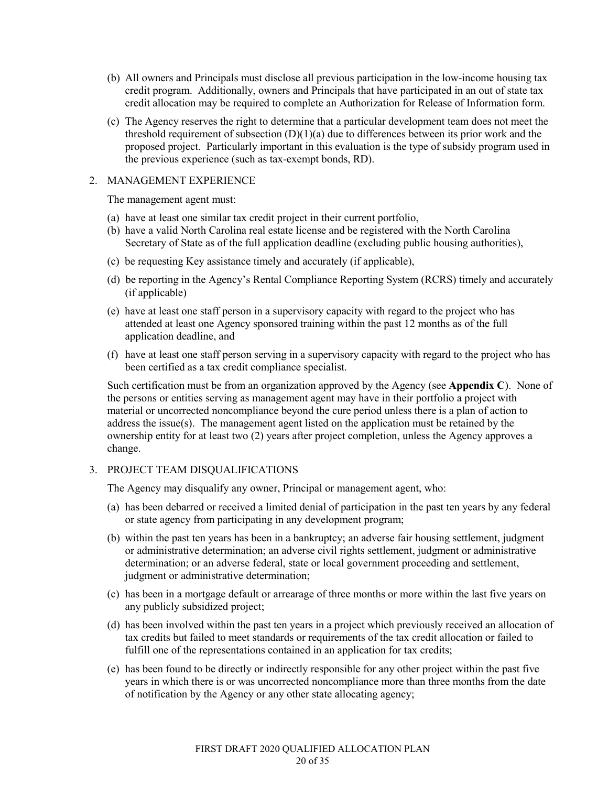- (b) All owners and Principals must disclose all previous participation in the low-income housing tax credit program. Additionally, owners and Principals that have participated in an out of state tax credit allocation may be required to complete an Authorization for Release of Information form.
- (c) The Agency reserves the right to determine that a particular development team does not meet the threshold requirement of subsection  $(D)(1)(a)$  due to differences between its prior work and the proposed project. Particularly important in this evaluation is the type of subsidy program used in the previous experience (such as tax-exempt bonds, RD).

### 2. MANAGEMENT EXPERIENCE

The management agent must:

- (a) have at least one similar tax credit project in their current portfolio,
- (b) have a valid North Carolina real estate license and be registered with the North Carolina Secretary of State as of the full application deadline (excluding public housing authorities),
- (c) be requesting Key assistance timely and accurately (if applicable),
- (d) be reporting in the Agency's Rental Compliance Reporting System (RCRS) timely and accurately (if applicable)
- (e) have at least one staff person in a supervisory capacity with regard to the project who has attended at least one Agency sponsored training within the past 12 months as of the full application deadline, and
- (f) have at least one staff person serving in a supervisory capacity with regard to the project who has been certified as a tax credit compliance specialist.

Such certification must be from an organization approved by the Agency (see **Appendix C**). None of the persons or entities serving as management agent may have in their portfolio a project with material or uncorrected noncompliance beyond the cure period unless there is a plan of action to address the issue(s). The management agent listed on the application must be retained by the ownership entity for at least two (2) years after project completion, unless the Agency approves a change.

# 3. PROJECT TEAM DISQUALIFICATIONS

The Agency may disqualify any owner, Principal or management agent, who:

- (a) has been debarred or received a limited denial of participation in the past ten years by any federal or state agency from participating in any development program;
- (b) within the past ten years has been in a bankruptcy; an adverse fair housing settlement, judgment or administrative determination; an adverse civil rights settlement, judgment or administrative determination; or an adverse federal, state or local government proceeding and settlement, judgment or administrative determination;
- (c) has been in a mortgage default or arrearage of three months or more within the last five years on any publicly subsidized project;
- (d) has been involved within the past ten years in a project which previously received an allocation of tax credits but failed to meet standards or requirements of the tax credit allocation or failed to fulfill one of the representations contained in an application for tax credits;
- (e) has been found to be directly or indirectly responsible for any other project within the past five years in which there is or was uncorrected noncompliance more than three months from the date of notification by the Agency or any other state allocating agency;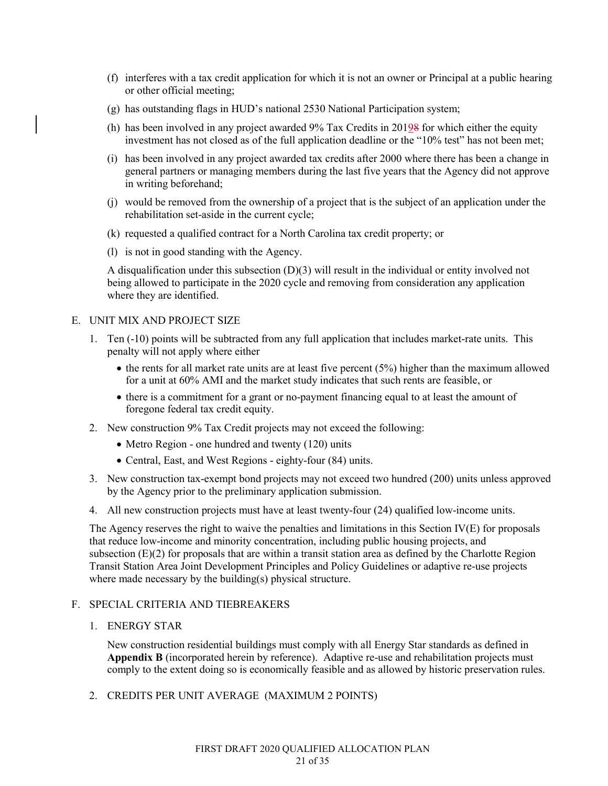- (f) interferes with a tax credit application for which it is not an owner or Principal at a public hearing or other official meeting;
- (g) has outstanding flags in HUD's national 2530 National Participation system;
- (h) has been involved in any project awarded 9% Tax Credits in 20198 for which either the equity investment has not closed as of the full application deadline or the "10% test" has not been met;
- (i) has been involved in any project awarded tax credits after 2000 where there has been a change in general partners or managing members during the last five years that the Agency did not approve in writing beforehand;
- (j) would be removed from the ownership of a project that is the subject of an application under the rehabilitation set-aside in the current cycle;
- (k) requested a qualified contract for a North Carolina tax credit property; or
- (l) is not in good standing with the Agency.

A disqualification under this subsection (D)(3) will result in the individual or entity involved not being allowed to participate in the 2020 cycle and removing from consideration any application where they are identified.

### E. UNIT MIX AND PROJECT SIZE

- 1. Ten (-10) points will be subtracted from any full application that includes market-rate units. This penalty will not apply where either
	- $\bullet$  the rents for all market rate units are at least five percent (5%) higher than the maximum allowed for a unit at 60% AMI and the market study indicates that such rents are feasible, or
	- there is a commitment for a grant or no-payment financing equal to at least the amount of foregone federal tax credit equity.
- 2. New construction 9% Tax Credit projects may not exceed the following:
	- Metro Region one hundred and twenty (120) units
	- Central, East, and West Regions eighty-four (84) units.
- 3. New construction tax-exempt bond projects may not exceed two hundred (200) units unless approved by the Agency prior to the preliminary application submission.
- 4. All new construction projects must have at least twenty-four (24) qualified low-income units.

The Agency reserves the right to waive the penalties and limitations in this Section IV(E) for proposals that reduce low-income and minority concentration, including public housing projects, and subsection  $(E)(2)$  for proposals that are within a transit station area as defined by the Charlotte Region Transit Station Area Joint Development Principles and Policy Guidelines or adaptive re-use projects where made necessary by the building(s) physical structure.

### F. SPECIAL CRITERIA AND TIEBREAKERS

### 1. ENERGY STAR

New construction residential buildings must comply with all Energy Star standards as defined in **Appendix B** (incorporated herein by reference). Adaptive re-use and rehabilitation projects must comply to the extent doing so is economically feasible and as allowed by historic preservation rules.

2. CREDITS PER UNIT AVERAGE (MAXIMUM 2 POINTS)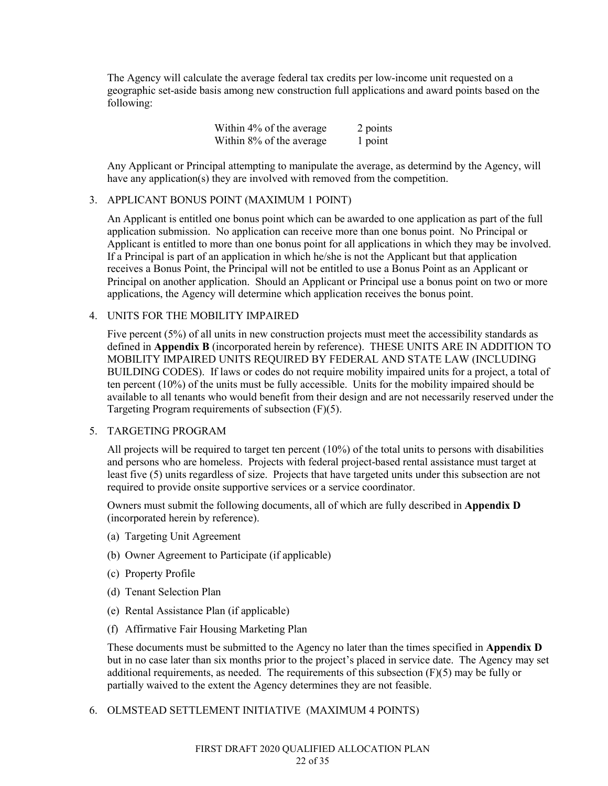The Agency will calculate the average federal tax credits per low-income unit requested on a geographic set-aside basis among new construction full applications and award points based on the following:

| Within 4% of the average | 2 points |
|--------------------------|----------|
| Within 8% of the average | 1 point  |

Any Applicant or Principal attempting to manipulate the average, as determind by the Agency, will have any application(s) they are involved with removed from the competition.

### 3. APPLICANT BONUS POINT (MAXIMUM 1 POINT)

An Applicant is entitled one bonus point which can be awarded to one application as part of the full application submission. No application can receive more than one bonus point. No Principal or Applicant is entitled to more than one bonus point for all applications in which they may be involved. If a Principal is part of an application in which he/she is not the Applicant but that application receives a Bonus Point, the Principal will not be entitled to use a Bonus Point as an Applicant or Principal on another application. Should an Applicant or Principal use a bonus point on two or more applications, the Agency will determine which application receives the bonus point.

#### 4. UNITS FOR THE MOBILITY IMPAIRED

Five percent (5%) of all units in new construction projects must meet the accessibility standards as defined in **Appendix B** (incorporated herein by reference). THESE UNITS ARE IN ADDITION TO MOBILITY IMPAIRED UNITS REQUIRED BY FEDERAL AND STATE LAW (INCLUDING BUILDING CODES). If laws or codes do not require mobility impaired units for a project, a total of ten percent (10%) of the units must be fully accessible. Units for the mobility impaired should be available to all tenants who would benefit from their design and are not necessarily reserved under the Targeting Program requirements of subsection (F)(5).

### 5. TARGETING PROGRAM

All projects will be required to target ten percent (10%) of the total units to persons with disabilities and persons who are homeless. Projects with federal project-based rental assistance must target at least five (5) units regardless of size. Projects that have targeted units under this subsection are not required to provide onsite supportive services or a service coordinator.

Owners must submit the following documents, all of which are fully described in **Appendix D** (incorporated herein by reference).

- (a) Targeting Unit Agreement
- (b) Owner Agreement to Participate (if applicable)
- (c) Property Profile
- (d) Tenant Selection Plan
- (e) Rental Assistance Plan (if applicable)
- (f) Affirmative Fair Housing Marketing Plan

These documents must be submitted to the Agency no later than the times specified in **Appendix D** but in no case later than six months prior to the project's placed in service date. The Agency may set additional requirements, as needed. The requirements of this subsection  $(F)(5)$  may be fully or partially waived to the extent the Agency determines they are not feasible.

# 6. OLMSTEAD SETTLEMENT INITIATIVE (MAXIMUM 4 POINTS)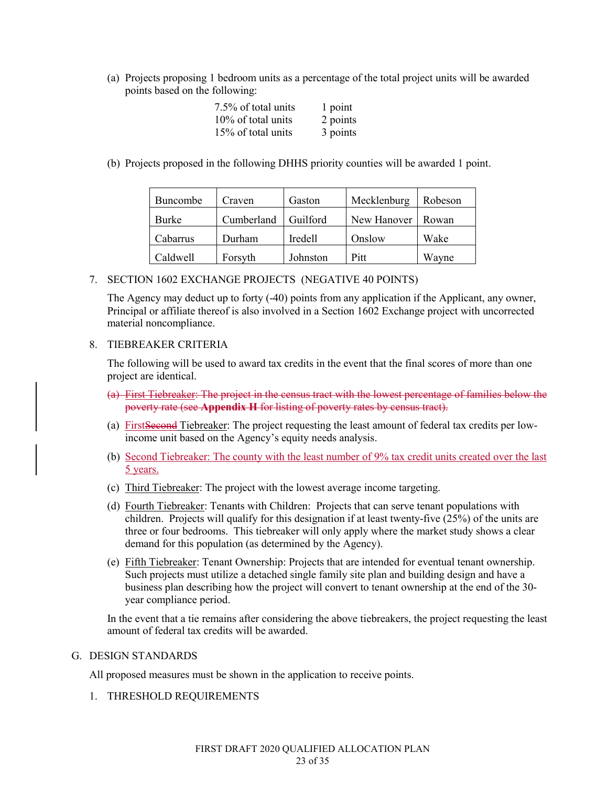(a) Projects proposing 1 bedroom units as a percentage of the total project units will be awarded points based on the following:

| 7.5% of total units | 1 point  |
|---------------------|----------|
| 10% of total units  | 2 points |
| 15% of total units  | 3 points |

(b) Projects proposed in the following DHHS priority counties will be awarded 1 point.

| Buncombe | Craven     | Gaston   | Mecklenburg         | Robeson |
|----------|------------|----------|---------------------|---------|
| Burke    | Cumberland | Guilford | New Hanover   Rowan |         |
| Cabarrus | Durham     | Iredell  | Onslow              | Wake    |
| Caldwell | Forsyth    | Johnston | Pitt                | Wavne   |

7. SECTION 1602 EXCHANGE PROJECTS (NEGATIVE 40 POINTS)

The Agency may deduct up to forty (-40) points from any application if the Applicant, any owner, Principal or affiliate thereof is also involved in a Section 1602 Exchange project with uncorrected material noncompliance.

### 8. TIEBREAKER CRITERIA

The following will be used to award tax credits in the event that the final scores of more than one project are identical.

- (a) First Tiebreaker: The project in the census tract with the lowest percentage of families below the poverty rate (see **Appendix H** for listing of poverty rates by census tract).
- (a) FirstSecond Tiebreaker: The project requesting the least amount of federal tax credits per lowincome unit based on the Agency's equity needs analysis.
- (b) Second Tiebreaker: The county with the least number of 9% tax credit units created over the last 5 years.
- (c) Third Tiebreaker: The project with the lowest average income targeting.
- (d) Fourth Tiebreaker: Tenants with Children: Projects that can serve tenant populations with children. Projects will qualify for this designation if at least twenty-five (25%) of the units are three or four bedrooms. This tiebreaker will only apply where the market study shows a clear demand for this population (as determined by the Agency).
- (e) Fifth Tiebreaker: Tenant Ownership: Projects that are intended for eventual tenant ownership. Such projects must utilize a detached single family site plan and building design and have a business plan describing how the project will convert to tenant ownership at the end of the 30 year compliance period.

In the event that a tie remains after considering the above tiebreakers, the project requesting the least amount of federal tax credits will be awarded.

### G. DESIGN STANDARDS

All proposed measures must be shown in the application to receive points.

1. THRESHOLD REQUIREMENTS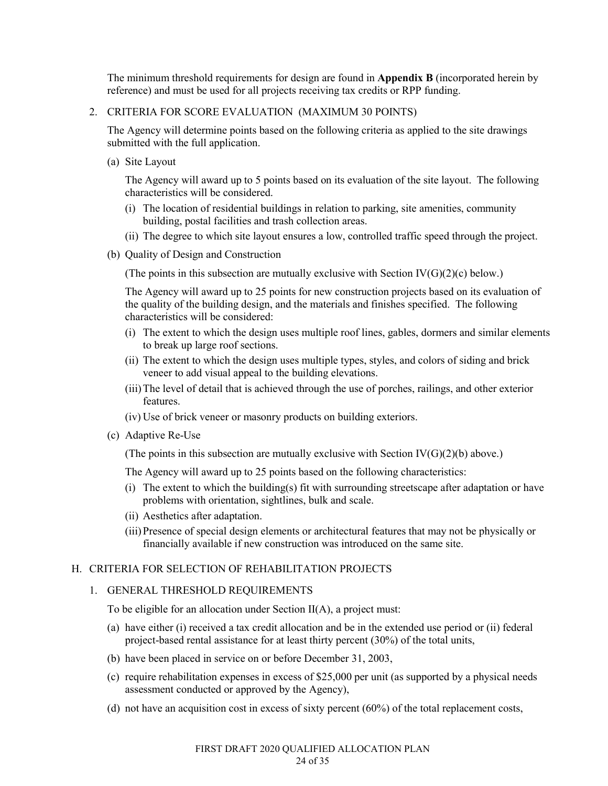The minimum threshold requirements for design are found in **Appendix B** (incorporated herein by reference) and must be used for all projects receiving tax credits or RPP funding.

### 2. CRITERIA FOR SCORE EVALUATION (MAXIMUM 30 POINTS)

The Agency will determine points based on the following criteria as applied to the site drawings submitted with the full application.

(a) Site Layout

The Agency will award up to 5 points based on its evaluation of the site layout. The following characteristics will be considered.

- (i) The location of residential buildings in relation to parking, site amenities, community building, postal facilities and trash collection areas.
- (ii) The degree to which site layout ensures a low, controlled traffic speed through the project.
- (b) Quality of Design and Construction

(The points in this subsection are mutually exclusive with Section  $IV(G)(2)(c)$  below.)

The Agency will award up to 25 points for new construction projects based on its evaluation of the quality of the building design, and the materials and finishes specified. The following characteristics will be considered:

- (i) The extent to which the design uses multiple roof lines, gables, dormers and similar elements to break up large roof sections.
- (ii) The extent to which the design uses multiple types, styles, and colors of siding and brick veneer to add visual appeal to the building elevations.
- (iii)The level of detail that is achieved through the use of porches, railings, and other exterior features.
- (iv) Use of brick veneer or masonry products on building exteriors.
- (c) Adaptive Re-Use

(The points in this subsection are mutually exclusive with Section  $IV(G)(2)(b)$  above.)

The Agency will award up to 25 points based on the following characteristics:

- (i) The extent to which the building(s) fit with surrounding streetscape after adaptation or have problems with orientation, sightlines, bulk and scale.
- (ii) Aesthetics after adaptation.
- (iii)Presence of special design elements or architectural features that may not be physically or financially available if new construction was introduced on the same site.

### H. CRITERIA FOR SELECTION OF REHABILITATION PROJECTS

### 1. GENERAL THRESHOLD REQUIREMENTS

To be eligible for an allocation under Section II(A), a project must:

- (a) have either (i) received a tax credit allocation and be in the extended use period or (ii) federal project-based rental assistance for at least thirty percent (30%) of the total units,
- (b) have been placed in service on or before December 31, 2003,
- (c) require rehabilitation expenses in excess of \$25,000 per unit (as supported by a physical needs assessment conducted or approved by the Agency),
- (d) not have an acquisition cost in excess of sixty percent (60%) of the total replacement costs,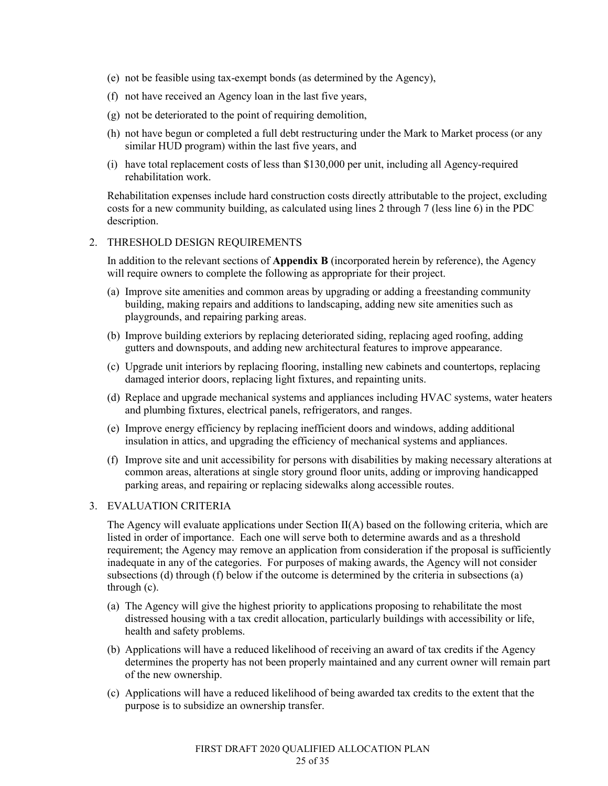- (e) not be feasible using tax-exempt bonds (as determined by the Agency),
- (f) not have received an Agency loan in the last five years,
- (g) not be deteriorated to the point of requiring demolition,
- (h) not have begun or completed a full debt restructuring under the Mark to Market process (or any similar HUD program) within the last five years, and
- (i) have total replacement costs of less than \$130,000 per unit, including all Agency-required rehabilitation work.

Rehabilitation expenses include hard construction costs directly attributable to the project, excluding costs for a new community building, as calculated using lines 2 through 7 (less line 6) in the PDC description.

### 2. THRESHOLD DESIGN REQUIREMENTS

In addition to the relevant sections of **Appendix B** (incorporated herein by reference), the Agency will require owners to complete the following as appropriate for their project.

- (a) Improve site amenities and common areas by upgrading or adding a freestanding community building, making repairs and additions to landscaping, adding new site amenities such as playgrounds, and repairing parking areas.
- (b) Improve building exteriors by replacing deteriorated siding, replacing aged roofing, adding gutters and downspouts, and adding new architectural features to improve appearance.
- (c) Upgrade unit interiors by replacing flooring, installing new cabinets and countertops, replacing damaged interior doors, replacing light fixtures, and repainting units.
- (d) Replace and upgrade mechanical systems and appliances including HVAC systems, water heaters and plumbing fixtures, electrical panels, refrigerators, and ranges.
- (e) Improve energy efficiency by replacing inefficient doors and windows, adding additional insulation in attics, and upgrading the efficiency of mechanical systems and appliances.
- (f) Improve site and unit accessibility for persons with disabilities by making necessary alterations at common areas, alterations at single story ground floor units, adding or improving handicapped parking areas, and repairing or replacing sidewalks along accessible routes.

### 3. EVALUATION CRITERIA

The Agency will evaluate applications under Section II(A) based on the following criteria, which are listed in order of importance. Each one will serve both to determine awards and as a threshold requirement; the Agency may remove an application from consideration if the proposal is sufficiently inadequate in any of the categories. For purposes of making awards, the Agency will not consider subsections (d) through (f) below if the outcome is determined by the criteria in subsections (a) through (c).

- (a) The Agency will give the highest priority to applications proposing to rehabilitate the most distressed housing with a tax credit allocation, particularly buildings with accessibility or life, health and safety problems.
- (b) Applications will have a reduced likelihood of receiving an award of tax credits if the Agency determines the property has not been properly maintained and any current owner will remain part of the new ownership.
- (c) Applications will have a reduced likelihood of being awarded tax credits to the extent that the purpose is to subsidize an ownership transfer.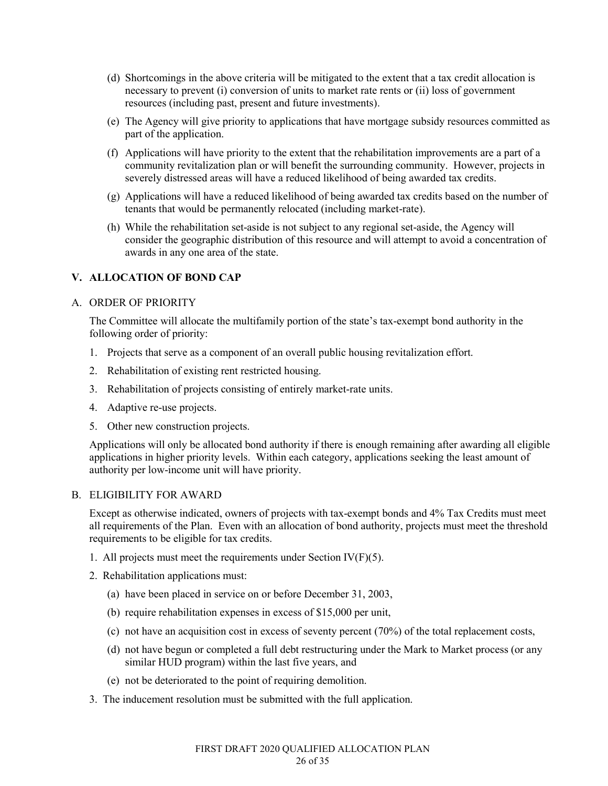- (d) Shortcomings in the above criteria will be mitigated to the extent that a tax credit allocation is necessary to prevent (i) conversion of units to market rate rents or (ii) loss of government resources (including past, present and future investments).
- (e) The Agency will give priority to applications that have mortgage subsidy resources committed as part of the application.
- (f) Applications will have priority to the extent that the rehabilitation improvements are a part of a community revitalization plan or will benefit the surrounding community. However, projects in severely distressed areas will have a reduced likelihood of being awarded tax credits.
- (g) Applications will have a reduced likelihood of being awarded tax credits based on the number of tenants that would be permanently relocated (including market-rate).
- (h) While the rehabilitation set-aside is not subject to any regional set-aside, the Agency will consider the geographic distribution of this resource and will attempt to avoid a concentration of awards in any one area of the state.

# **V. ALLOCATION OF BOND CAP**

### A. ORDER OF PRIORITY

The Committee will allocate the multifamily portion of the state's tax-exempt bond authority in the following order of priority:

- 1. Projects that serve as a component of an overall public housing revitalization effort.
- 2. Rehabilitation of existing rent restricted housing.
- 3. Rehabilitation of projects consisting of entirely market-rate units.
- 4. Adaptive re-use projects.
- 5. Other new construction projects.

Applications will only be allocated bond authority if there is enough remaining after awarding all eligible applications in higher priority levels. Within each category, applications seeking the least amount of authority per low-income unit will have priority.

### B. ELIGIBILITY FOR AWARD

Except as otherwise indicated, owners of projects with tax-exempt bonds and 4% Tax Credits must meet all requirements of the Plan. Even with an allocation of bond authority, projects must meet the threshold requirements to be eligible for tax credits.

- 1. All projects must meet the requirements under Section  $IV(F)(5)$ .
- 2. Rehabilitation applications must:
	- (a) have been placed in service on or before December 31, 2003,
	- (b) require rehabilitation expenses in excess of \$15,000 per unit,
	- (c) not have an acquisition cost in excess of seventy percent (70%) of the total replacement costs,
	- (d) not have begun or completed a full debt restructuring under the Mark to Market process (or any similar HUD program) within the last five years, and
	- (e) not be deteriorated to the point of requiring demolition.
- 3. The inducement resolution must be submitted with the full application.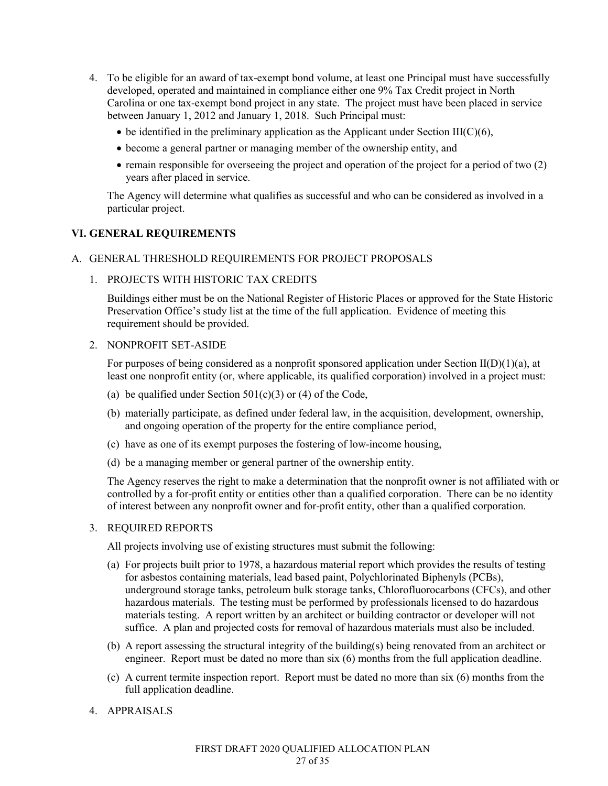- 4. To be eligible for an award of tax-exempt bond volume, at least one Principal must have successfully developed, operated and maintained in compliance either one 9% Tax Credit project in North Carolina or one tax-exempt bond project in any state. The project must have been placed in service between January 1, 2012 and January 1, 2018. Such Principal must:
	- $\bullet$  be identified in the preliminary application as the Applicant under Section III(C)(6),
	- become a general partner or managing member of the ownership entity, and
	- $\bullet$  remain responsible for overseeing the project and operation of the project for a period of two (2) years after placed in service.

The Agency will determine what qualifies as successful and who can be considered as involved in a particular project.

### **VI. GENERAL REQUIREMENTS**

### A. GENERAL THRESHOLD REQUIREMENTS FOR PROJECT PROPOSALS

1. PROJECTS WITH HISTORIC TAX CREDITS

Buildings either must be on the National Register of Historic Places or approved for the State Historic Preservation Office's study list at the time of the full application. Evidence of meeting this requirement should be provided.

### 2. NONPROFIT SET-ASIDE

For purposes of being considered as a nonprofit sponsored application under Section  $II(D)(1)(a)$ , at least one nonprofit entity (or, where applicable, its qualified corporation) involved in a project must:

- (a) be qualified under Section  $501(c)(3)$  or (4) of the Code,
- (b) materially participate, as defined under federal law, in the acquisition, development, ownership, and ongoing operation of the property for the entire compliance period,
- (c) have as one of its exempt purposes the fostering of low-income housing,
- (d) be a managing member or general partner of the ownership entity.

The Agency reserves the right to make a determination that the nonprofit owner is not affiliated with or controlled by a for-profit entity or entities other than a qualified corporation. There can be no identity of interest between any nonprofit owner and for-profit entity, other than a qualified corporation.

#### 3. REQUIRED REPORTS

All projects involving use of existing structures must submit the following:

- (a) For projects built prior to 1978, a hazardous material report which provides the results of testing for asbestos containing materials, lead based paint, Polychlorinated Biphenyls (PCBs), underground storage tanks, petroleum bulk storage tanks, Chlorofluorocarbons (CFCs), and other hazardous materials. The testing must be performed by professionals licensed to do hazardous materials testing. A report written by an architect or building contractor or developer will not suffice. A plan and projected costs for removal of hazardous materials must also be included.
- (b) A report assessing the structural integrity of the building(s) being renovated from an architect or engineer. Report must be dated no more than six (6) months from the full application deadline.
- (c) A current termite inspection report. Report must be dated no more than six (6) months from the full application deadline.
- 4. APPRAISALS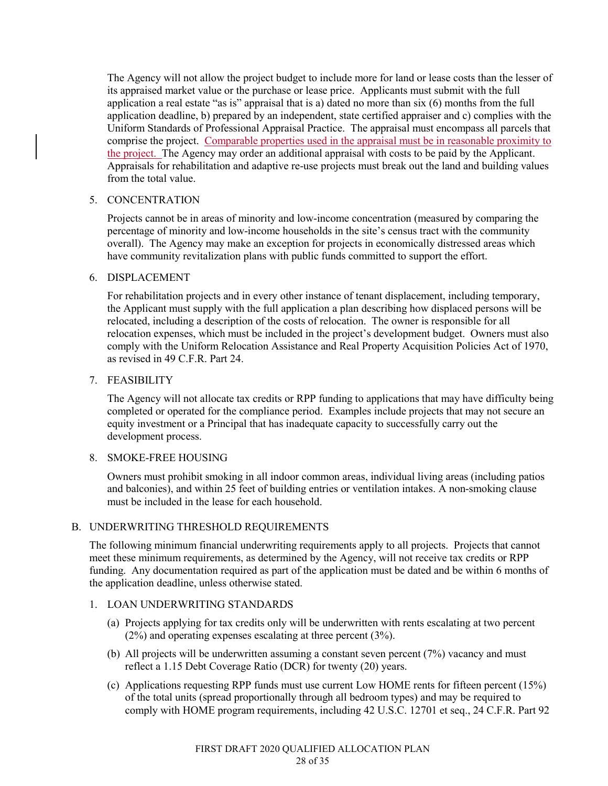The Agency will not allow the project budget to include more for land or lease costs than the lesser of its appraised market value or the purchase or lease price. Applicants must submit with the full application a real estate "as is" appraisal that is a) dated no more than six (6) months from the full application deadline, b) prepared by an independent, state certified appraiser and c) complies with the Uniform Standards of Professional Appraisal Practice. The appraisal must encompass all parcels that comprise the project. Comparable properties used in the appraisal must be in reasonable proximity to the project. The Agency may order an additional appraisal with costs to be paid by the Applicant. Appraisals for rehabilitation and adaptive re-use projects must break out the land and building values from the total value.

# 5. CONCENTRATION

Projects cannot be in areas of minority and low-income concentration (measured by comparing the percentage of minority and low-income households in the site's census tract with the community overall). The Agency may make an exception for projects in economically distressed areas which have community revitalization plans with public funds committed to support the effort.

# 6. DISPLACEMENT

For rehabilitation projects and in every other instance of tenant displacement, including temporary, the Applicant must supply with the full application a plan describing how displaced persons will be relocated, including a description of the costs of relocation. The owner is responsible for all relocation expenses, which must be included in the project's development budget. Owners must also comply with the Uniform Relocation Assistance and Real Property Acquisition Policies Act of 1970, as revised in 49 C.F.R. Part 24.

### 7. FEASIBILITY

The Agency will not allocate tax credits or RPP funding to applications that may have difficulty being completed or operated for the compliance period. Examples include projects that may not secure an equity investment or a Principal that has inadequate capacity to successfully carry out the development process.

# 8. SMOKE-FREE HOUSING

Owners must prohibit smoking in all indoor common areas, individual living areas (including patios and balconies), and within 25 feet of building entries or ventilation intakes. A non-smoking clause must be included in the lease for each household.

# B. UNDERWRITING THRESHOLD REQUIREMENTS

The following minimum financial underwriting requirements apply to all projects. Projects that cannot meet these minimum requirements, as determined by the Agency, will not receive tax credits or RPP funding. Any documentation required as part of the application must be dated and be within 6 months of the application deadline, unless otherwise stated.

# 1. LOAN UNDERWRITING STANDARDS

- (a) Projects applying for tax credits only will be underwritten with rents escalating at two percent (2%) and operating expenses escalating at three percent (3%).
- (b) All projects will be underwritten assuming a constant seven percent (7%) vacancy and must reflect a 1.15 Debt Coverage Ratio (DCR) for twenty (20) years.
- (c) Applications requesting RPP funds must use current Low HOME rents for fifteen percent (15%) of the total units (spread proportionally through all bedroom types) and may be required to comply with HOME program requirements, including 42 U.S.C. 12701 et seq., 24 C.F.R. Part 92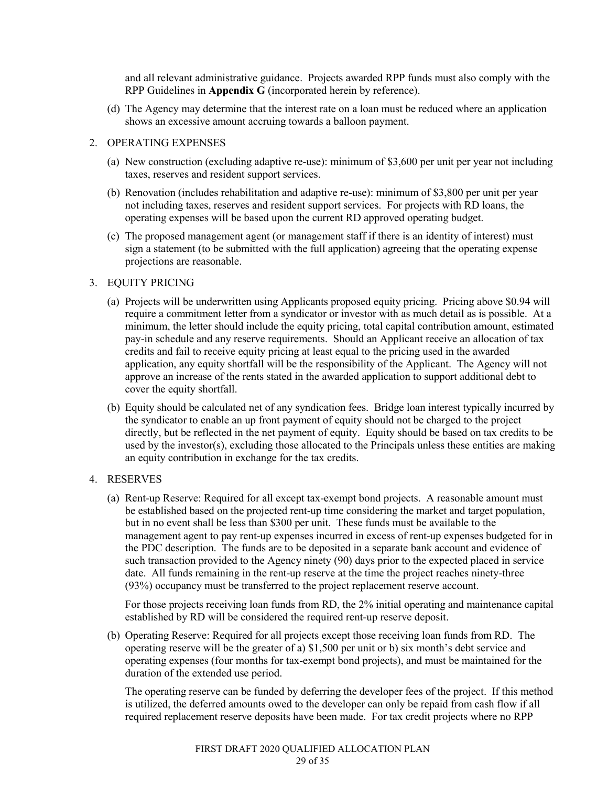and all relevant administrative guidance. Projects awarded RPP funds must also comply with the RPP Guidelines in **Appendix G** (incorporated herein by reference).

(d) The Agency may determine that the interest rate on a loan must be reduced where an application shows an excessive amount accruing towards a balloon payment.

### 2. OPERATING EXPENSES

- (a) New construction (excluding adaptive re-use): minimum of \$3,600 per unit per year not including taxes, reserves and resident support services.
- (b) Renovation (includes rehabilitation and adaptive re-use): minimum of \$3,800 per unit per year not including taxes, reserves and resident support services. For projects with RD loans, the operating expenses will be based upon the current RD approved operating budget.
- (c) The proposed management agent (or management staff if there is an identity of interest) must sign a statement (to be submitted with the full application) agreeing that the operating expense projections are reasonable.

#### 3. EQUITY PRICING

- (a) Projects will be underwritten using Applicants proposed equity pricing. Pricing above \$0.94 will require a commitment letter from a syndicator or investor with as much detail as is possible. At a minimum, the letter should include the equity pricing, total capital contribution amount, estimated pay-in schedule and any reserve requirements. Should an Applicant receive an allocation of tax credits and fail to receive equity pricing at least equal to the pricing used in the awarded application, any equity shortfall will be the responsibility of the Applicant. The Agency will not approve an increase of the rents stated in the awarded application to support additional debt to cover the equity shortfall.
- (b) Equity should be calculated net of any syndication fees. Bridge loan interest typically incurred by the syndicator to enable an up front payment of equity should not be charged to the project directly, but be reflected in the net payment of equity. Equity should be based on tax credits to be used by the investor(s), excluding those allocated to the Principals unless these entities are making an equity contribution in exchange for the tax credits.

### 4. RESERVES

(a) Rent-up Reserve: Required for all except tax-exempt bond projects. A reasonable amount must be established based on the projected rent-up time considering the market and target population, but in no event shall be less than \$300 per unit. These funds must be available to the management agent to pay rent-up expenses incurred in excess of rent-up expenses budgeted for in the PDC description. The funds are to be deposited in a separate bank account and evidence of such transaction provided to the Agency ninety (90) days prior to the expected placed in service date. All funds remaining in the rent-up reserve at the time the project reaches ninety-three (93%) occupancy must be transferred to the project replacement reserve account.

For those projects receiving loan funds from RD, the 2% initial operating and maintenance capital established by RD will be considered the required rent-up reserve deposit.

(b) Operating Reserve: Required for all projects except those receiving loan funds from RD. The operating reserve will be the greater of a) \$1,500 per unit or b) six month's debt service and operating expenses (four months for tax-exempt bond projects), and must be maintained for the duration of the extended use period.

The operating reserve can be funded by deferring the developer fees of the project. If this method is utilized, the deferred amounts owed to the developer can only be repaid from cash flow if all required replacement reserve deposits have been made. For tax credit projects where no RPP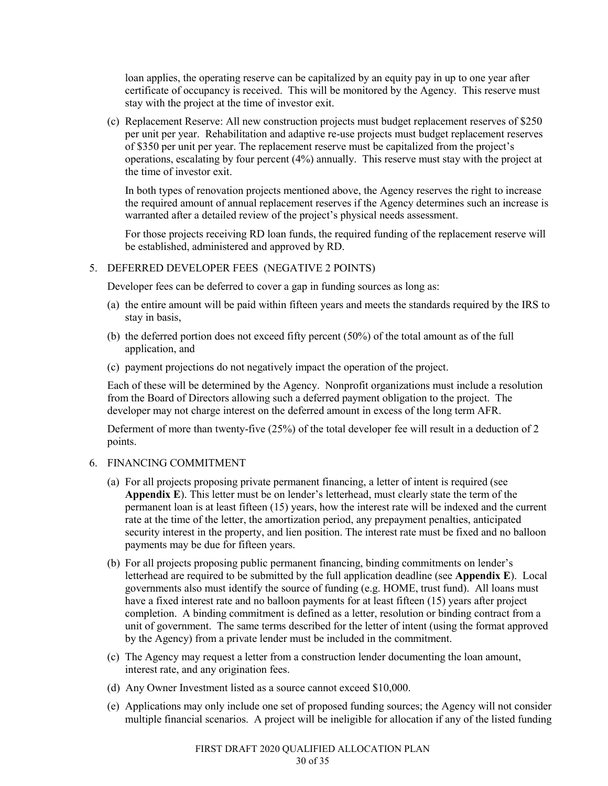loan applies, the operating reserve can be capitalized by an equity pay in up to one year after certificate of occupancy is received. This will be monitored by the Agency. This reserve must stay with the project at the time of investor exit.

(c) Replacement Reserve: All new construction projects must budget replacement reserves of \$250 per unit per year. Rehabilitation and adaptive re-use projects must budget replacement reserves of \$350 per unit per year. The replacement reserve must be capitalized from the project's operations, escalating by four percent (4%) annually. This reserve must stay with the project at the time of investor exit.

In both types of renovation projects mentioned above, the Agency reserves the right to increase the required amount of annual replacement reserves if the Agency determines such an increase is warranted after a detailed review of the project's physical needs assessment.

For those projects receiving RD loan funds, the required funding of the replacement reserve will be established, administered and approved by RD.

### 5. DEFERRED DEVELOPER FEES (NEGATIVE 2 POINTS)

Developer fees can be deferred to cover a gap in funding sources as long as:

- (a) the entire amount will be paid within fifteen years and meets the standards required by the IRS to stay in basis,
- (b) the deferred portion does not exceed fifty percent (50%) of the total amount as of the full application, and
- (c) payment projections do not negatively impact the operation of the project.

Each of these will be determined by the Agency. Nonprofit organizations must include a resolution from the Board of Directors allowing such a deferred payment obligation to the project. The developer may not charge interest on the deferred amount in excess of the long term AFR.

Deferment of more than twenty-five (25%) of the total developer fee will result in a deduction of 2 points.

### 6. FINANCING COMMITMENT

- (a) For all projects proposing private permanent financing, a letter of intent is required (see **Appendix E**). This letter must be on lender's letterhead, must clearly state the term of the permanent loan is at least fifteen (15) years, how the interest rate will be indexed and the current rate at the time of the letter, the amortization period, any prepayment penalties, anticipated security interest in the property, and lien position. The interest rate must be fixed and no balloon payments may be due for fifteen years.
- (b) For all projects proposing public permanent financing, binding commitments on lender's letterhead are required to be submitted by the full application deadline (see **Appendix E**). Local governments also must identify the source of funding (e.g. HOME, trust fund). All loans must have a fixed interest rate and no balloon payments for at least fifteen (15) years after project completion. A binding commitment is defined as a letter, resolution or binding contract from a unit of government. The same terms described for the letter of intent (using the format approved by the Agency) from a private lender must be included in the commitment.
- (c) The Agency may request a letter from a construction lender documenting the loan amount, interest rate, and any origination fees.
- (d) Any Owner Investment listed as a source cannot exceed \$10,000.
- (e) Applications may only include one set of proposed funding sources; the Agency will not consider multiple financial scenarios. A project will be ineligible for allocation if any of the listed funding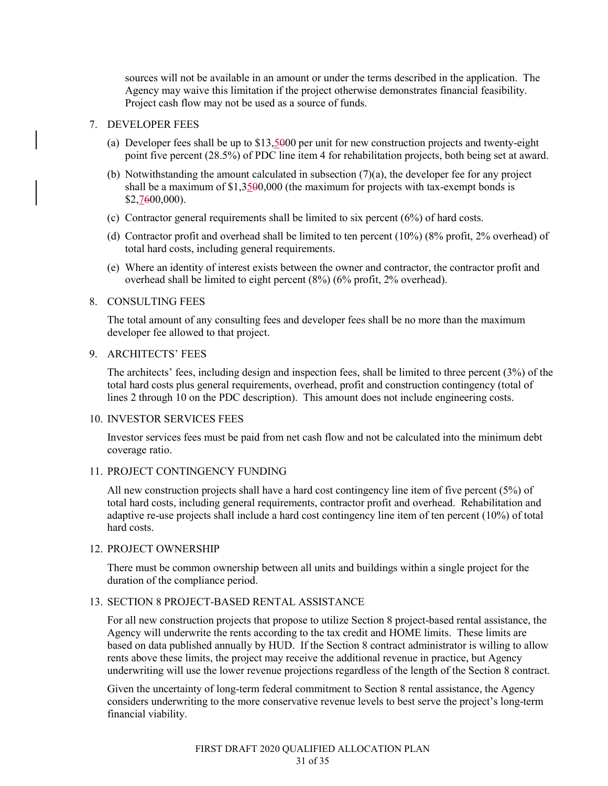sources will not be available in an amount or under the terms described in the application. The Agency may waive this limitation if the project otherwise demonstrates financial feasibility. Project cash flow may not be used as a source of funds.

#### 7. DEVELOPER FEES

- (a) Developer fees shall be up to \$13,5000 per unit for new construction projects and twenty-eight point five percent (28.5%) of PDC line item 4 for rehabilitation projects, both being set at award.
- (b) Notwithstanding the amount calculated in subsection (7)(a), the developer fee for any project shall be a maximum of \$1,3500,000 (the maximum for projects with tax-exempt bonds is \$2,7600,000).
- (c) Contractor general requirements shall be limited to six percent (6%) of hard costs.
- (d) Contractor profit and overhead shall be limited to ten percent (10%) (8% profit, 2% overhead) of total hard costs, including general requirements.
- (e) Where an identity of interest exists between the owner and contractor, the contractor profit and overhead shall be limited to eight percent (8%) (6% profit, 2% overhead).

#### 8. CONSULTING FEES

The total amount of any consulting fees and developer fees shall be no more than the maximum developer fee allowed to that project.

#### 9. ARCHITECTS' FEES

The architects' fees, including design and inspection fees, shall be limited to three percent (3%) of the total hard costs plus general requirements, overhead, profit and construction contingency (total of lines 2 through 10 on the PDC description). This amount does not include engineering costs.

#### 10. INVESTOR SERVICES FEES

Investor services fees must be paid from net cash flow and not be calculated into the minimum debt coverage ratio.

### 11. PROJECT CONTINGENCY FUNDING

All new construction projects shall have a hard cost contingency line item of five percent (5%) of total hard costs, including general requirements, contractor profit and overhead. Rehabilitation and adaptive re-use projects shall include a hard cost contingency line item of ten percent (10%) of total hard costs.

### 12. PROJECT OWNERSHIP

There must be common ownership between all units and buildings within a single project for the duration of the compliance period.

### 13. SECTION 8 PROJECT-BASED RENTAL ASSISTANCE

For all new construction projects that propose to utilize Section 8 project-based rental assistance, the Agency will underwrite the rents according to the tax credit and HOME limits. These limits are based on data published annually by HUD. If the Section 8 contract administrator is willing to allow rents above these limits, the project may receive the additional revenue in practice, but Agency underwriting will use the lower revenue projections regardless of the length of the Section 8 contract.

Given the uncertainty of long-term federal commitment to Section 8 rental assistance, the Agency considers underwriting to the more conservative revenue levels to best serve the project's long-term financial viability.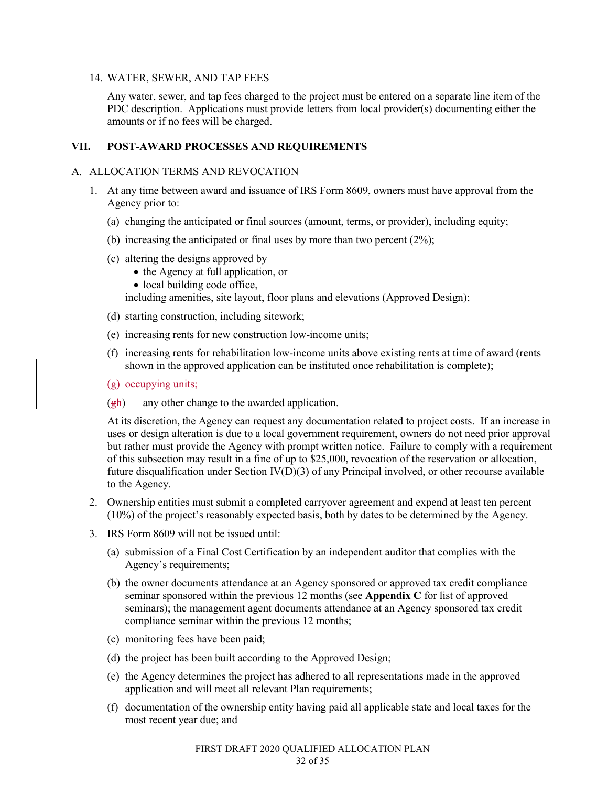### 14. WATER, SEWER, AND TAP FEES

Any water, sewer, and tap fees charged to the project must be entered on a separate line item of the PDC description. Applications must provide letters from local provider(s) documenting either the amounts or if no fees will be charged.

# **VII. POST-AWARD PROCESSES AND REQUIREMENTS**

### A. ALLOCATION TERMS AND REVOCATION

- 1. At any time between award and issuance of IRS Form 8609, owners must have approval from the Agency prior to:
	- (a) changing the anticipated or final sources (amount, terms, or provider), including equity;
	- (b) increasing the anticipated or final uses by more than two percent (2%);
	- (c) altering the designs approved by
		- the Agency at full application, or
		- local building code office,

including amenities, site layout, floor plans and elevations (Approved Design);

- (d) starting construction, including sitework;
- (e) increasing rents for new construction low-income units;
- (f) increasing rents for rehabilitation low-income units above existing rents at time of award (rents shown in the approved application can be instituted once rehabilitation is complete);
- (g) occupying units;
- $\frac{(\text{gh})}{(\text{gh})}$  any other change to the awarded application.

At its discretion, the Agency can request any documentation related to project costs. If an increase in uses or design alteration is due to a local government requirement, owners do not need prior approval but rather must provide the Agency with prompt written notice. Failure to comply with a requirement of this subsection may result in a fine of up to \$25,000, revocation of the reservation or allocation, future disqualification under Section IV(D)(3) of any Principal involved, or other recourse available to the Agency.

- 2. Ownership entities must submit a completed carryover agreement and expend at least ten percent (10%) of the project's reasonably expected basis, both by dates to be determined by the Agency.
- 3. IRS Form 8609 will not be issued until:
	- (a) submission of a Final Cost Certification by an independent auditor that complies with the Agency's requirements;
	- (b) the owner documents attendance at an Agency sponsored or approved tax credit compliance seminar sponsored within the previous 12 months (see **Appendix C** for list of approved seminars); the management agent documents attendance at an Agency sponsored tax credit compliance seminar within the previous 12 months;
	- (c) monitoring fees have been paid;
	- (d) the project has been built according to the Approved Design;
	- (e) the Agency determines the project has adhered to all representations made in the approved application and will meet all relevant Plan requirements;
	- (f) documentation of the ownership entity having paid all applicable state and local taxes for the most recent year due; and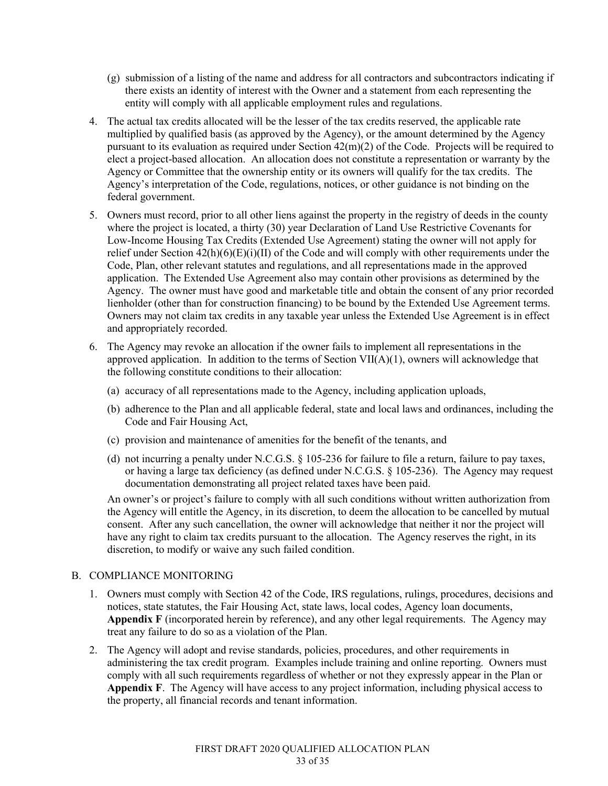- (g) submission of a listing of the name and address for all contractors and subcontractors indicating if there exists an identity of interest with the Owner and a statement from each representing the entity will comply with all applicable employment rules and regulations.
- 4. The actual tax credits allocated will be the lesser of the tax credits reserved, the applicable rate multiplied by qualified basis (as approved by the Agency), or the amount determined by the Agency pursuant to its evaluation as required under Section 42(m)(2) of the Code. Projects will be required to elect a project-based allocation. An allocation does not constitute a representation or warranty by the Agency or Committee that the ownership entity or its owners will qualify for the tax credits. The Agency's interpretation of the Code, regulations, notices, or other guidance is not binding on the federal government.
- 5. Owners must record, prior to all other liens against the property in the registry of deeds in the county where the project is located, a thirty (30) year Declaration of Land Use Restrictive Covenants for Low-Income Housing Tax Credits (Extended Use Agreement) stating the owner will not apply for relief under Section 42(h)(6)(E)(i)(II) of the Code and will comply with other requirements under the Code, Plan, other relevant statutes and regulations, and all representations made in the approved application. The Extended Use Agreement also may contain other provisions as determined by the Agency. The owner must have good and marketable title and obtain the consent of any prior recorded lienholder (other than for construction financing) to be bound by the Extended Use Agreement terms. Owners may not claim tax credits in any taxable year unless the Extended Use Agreement is in effect and appropriately recorded.
- 6. The Agency may revoke an allocation if the owner fails to implement all representations in the approved application. In addition to the terms of Section VII(A)(1), owners will acknowledge that the following constitute conditions to their allocation:
	- (a) accuracy of all representations made to the Agency, including application uploads,
	- (b) adherence to the Plan and all applicable federal, state and local laws and ordinances, including the Code and Fair Housing Act,
	- (c) provision and maintenance of amenities for the benefit of the tenants, and
	- (d) not incurring a penalty under N.C.G.S. § 105-236 for failure to file a return, failure to pay taxes, or having a large tax deficiency (as defined under N.C.G.S. § 105-236). The Agency may request documentation demonstrating all project related taxes have been paid.

An owner's or project's failure to comply with all such conditions without written authorization from the Agency will entitle the Agency, in its discretion, to deem the allocation to be cancelled by mutual consent. After any such cancellation, the owner will acknowledge that neither it nor the project will have any right to claim tax credits pursuant to the allocation. The Agency reserves the right, in its discretion, to modify or waive any such failed condition.

# B. COMPLIANCE MONITORING

- 1. Owners must comply with Section 42 of the Code, IRS regulations, rulings, procedures, decisions and notices, state statutes, the Fair Housing Act, state laws, local codes, Agency loan documents, **Appendix F** (incorporated herein by reference), and any other legal requirements. The Agency may treat any failure to do so as a violation of the Plan.
- 2. The Agency will adopt and revise standards, policies, procedures, and other requirements in administering the tax credit program. Examples include training and online reporting. Owners must comply with all such requirements regardless of whether or not they expressly appear in the Plan or **Appendix F**. The Agency will have access to any project information, including physical access to the property, all financial records and tenant information.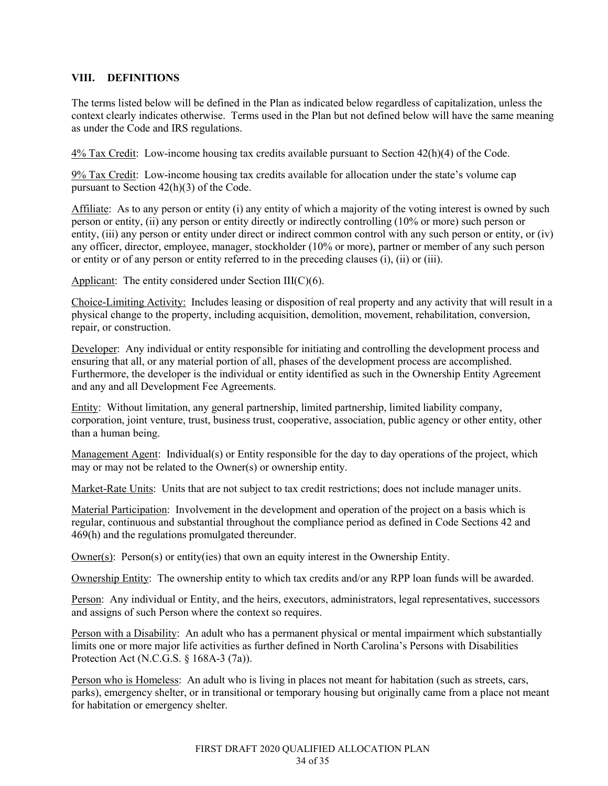# **VIII. DEFINITIONS**

The terms listed below will be defined in the Plan as indicated below regardless of capitalization, unless the context clearly indicates otherwise. Terms used in the Plan but not defined below will have the same meaning as under the Code and IRS regulations.

4% Tax Credit: Low-income housing tax credits available pursuant to Section 42(h)(4) of the Code.

9% Tax Credit: Low-income housing tax credits available for allocation under the state's volume cap pursuant to Section 42(h)(3) of the Code.

Affiliate: As to any person or entity (i) any entity of which a majority of the voting interest is owned by such person or entity, (ii) any person or entity directly or indirectly controlling (10% or more) such person or entity, (iii) any person or entity under direct or indirect common control with any such person or entity, or (iv) any officer, director, employee, manager, stockholder (10% or more), partner or member of any such person or entity or of any person or entity referred to in the preceding clauses (i), (ii) or (iii).

Applicant: The entity considered under Section III(C)(6).

Choice-Limiting Activity: Includes leasing or disposition of real property and any activity that will result in a physical change to the property, including acquisition, demolition, movement, rehabilitation, conversion, repair, or construction.

Developer: Any individual or entity responsible for initiating and controlling the development process and ensuring that all, or any material portion of all, phases of the development process are accomplished. Furthermore, the developer is the individual or entity identified as such in the Ownership Entity Agreement and any and all Development Fee Agreements.

Entity: Without limitation, any general partnership, limited partnership, limited liability company, corporation, joint venture, trust, business trust, cooperative, association, public agency or other entity, other than a human being.

Management Agent: Individual(s) or Entity responsible for the day to day operations of the project, which may or may not be related to the Owner(s) or ownership entity.

Market-Rate Units: Units that are not subject to tax credit restrictions; does not include manager units.

Material Participation: Involvement in the development and operation of the project on a basis which is regular, continuous and substantial throughout the compliance period as defined in Code Sections 42 and 469(h) and the regulations promulgated thereunder.

Owner(s): Person(s) or entity(ies) that own an equity interest in the Ownership Entity.

Ownership Entity: The ownership entity to which tax credits and/or any RPP loan funds will be awarded.

Person: Any individual or Entity, and the heirs, executors, administrators, legal representatives, successors and assigns of such Person where the context so requires.

Person with a Disability: An adult who has a permanent physical or mental impairment which substantially limits one or more major life activities as further defined in North Carolina's Persons with Disabilities Protection Act (N.C.G.S. § 168A-3 (7a)).

Person who is Homeless: An adult who is living in places not meant for habitation (such as streets, cars, parks), emergency shelter, or in transitional or temporary housing but originally came from a place not meant for habitation or emergency shelter.